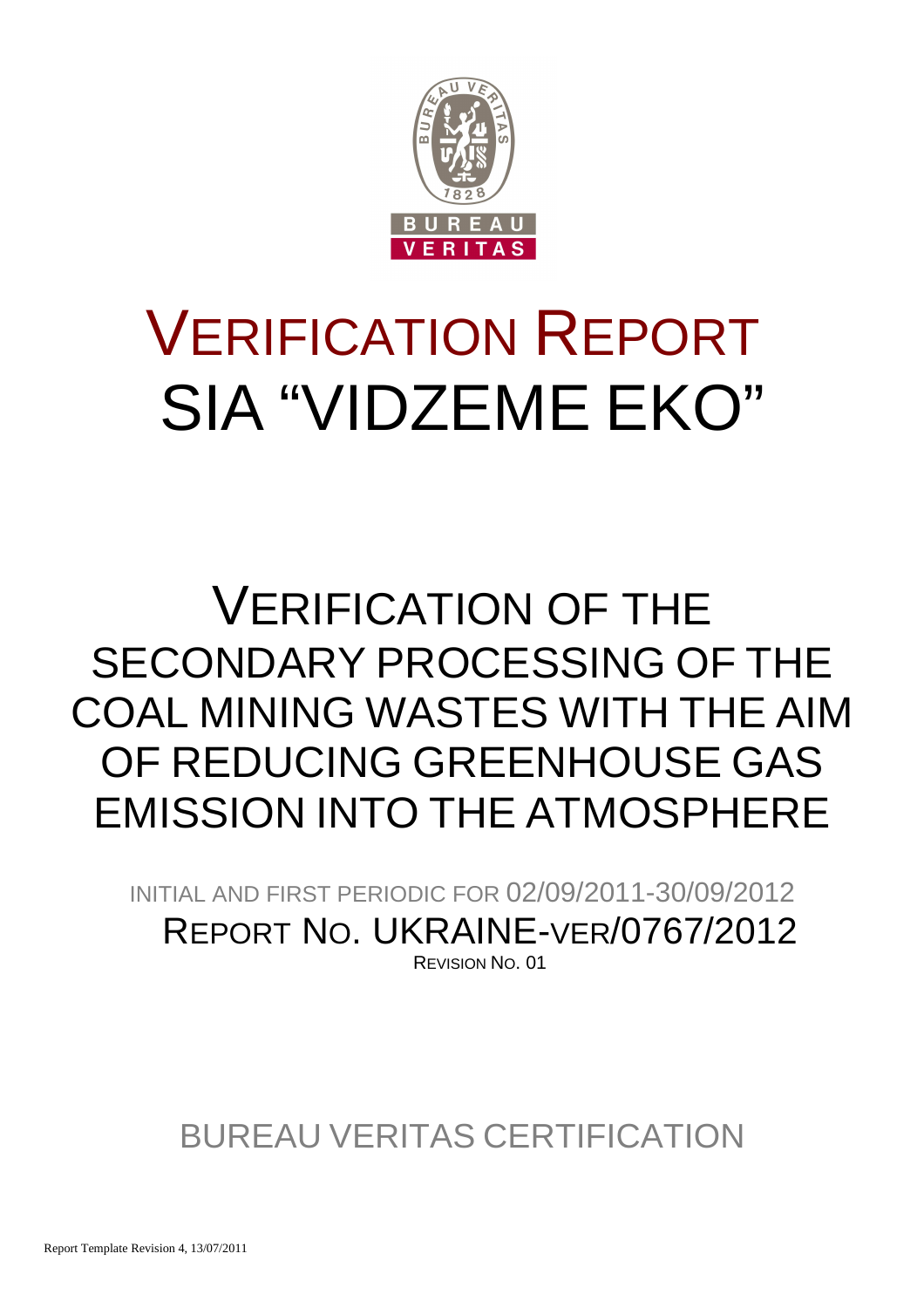

# VERIFICATION REPORT SIA "VIDZEME EKO"

## VERIFICATION OF THE SECONDARY PROCESSING OF THE COAL MINING WASTES WITH THE AIM OF REDUCING GREENHOUSE GAS EMISSION INTO THE ATMOSPHERE

INITIAL AND FIRST PERIODIC FOR 02/09/2011-30/09/2012 REPORT NO. UKRAINE-VER/0767/2012 REVISION NO. 01

### BUREAU VERITAS CERTIFICATION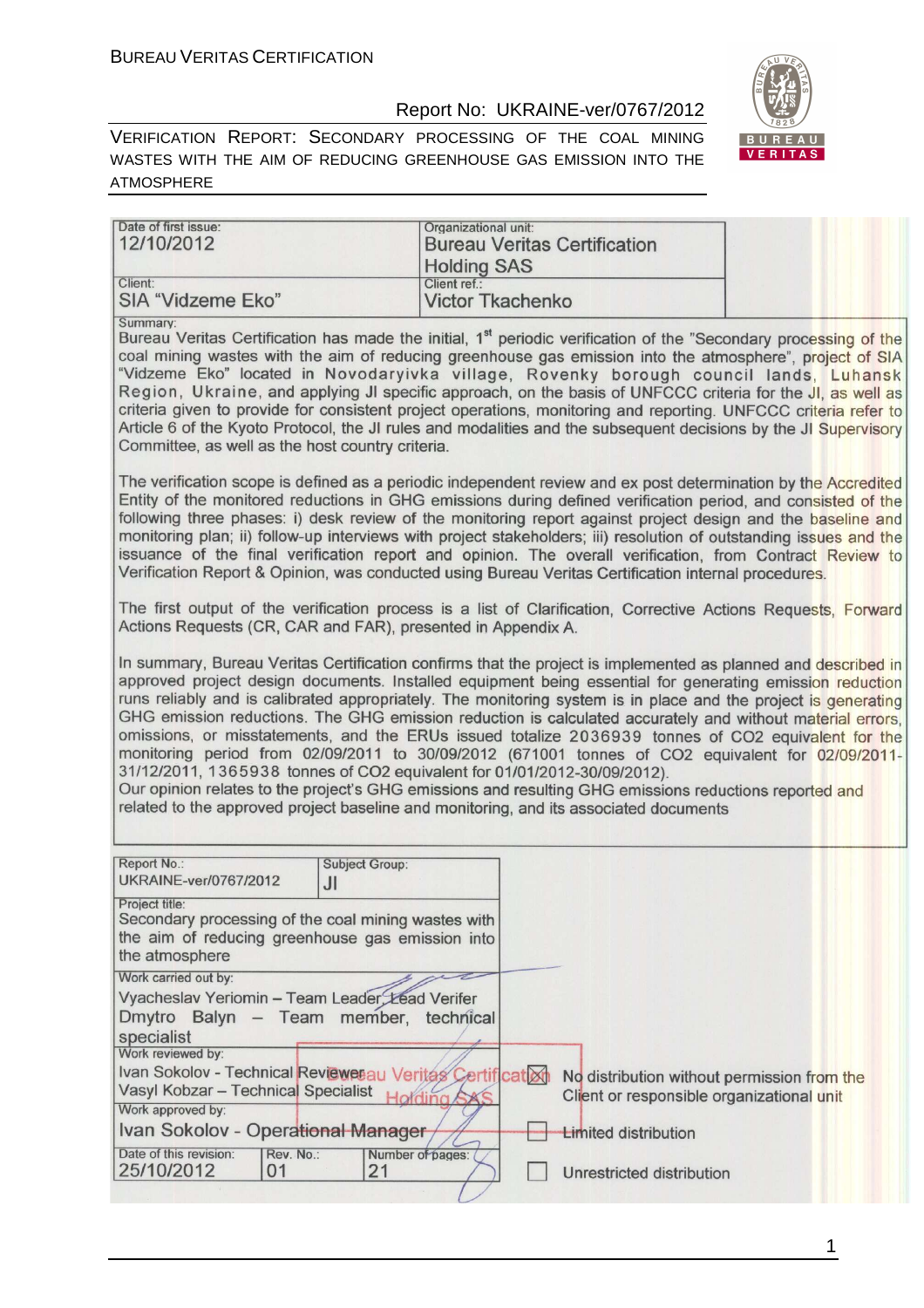#### Report No: UKRAINE-ver/0767/2012



VERIFICATION REPORT: SECONDARY PROCESSING OF THE COAL MINING WASTES WITH THE AIM OF REDUCING GREENHOUSE GAS EMISSION INTO THE ATMOSPHERE

| Date of first issue:<br>12/10/2012                                                                                                                                                            | Organizational unit:<br><b>Bureau Veritas Certification</b><br><b>Holding SAS</b>                                                                                                                                                                                                                                                                                                                                                                                                                                                                                                                                                                                                                                                                                                                                                                                     |
|-----------------------------------------------------------------------------------------------------------------------------------------------------------------------------------------------|-----------------------------------------------------------------------------------------------------------------------------------------------------------------------------------------------------------------------------------------------------------------------------------------------------------------------------------------------------------------------------------------------------------------------------------------------------------------------------------------------------------------------------------------------------------------------------------------------------------------------------------------------------------------------------------------------------------------------------------------------------------------------------------------------------------------------------------------------------------------------|
| Client:<br><b>SIA "Vidzeme Eko"</b>                                                                                                                                                           | Client ref.:<br><b>Victor Tkachenko</b>                                                                                                                                                                                                                                                                                                                                                                                                                                                                                                                                                                                                                                                                                                                                                                                                                               |
| Summary:<br>Committee, as well as the host country criteria.                                                                                                                                  | Bureau Veritas Certification has made the initial, 1 <sup>st</sup> periodic verification of the "Secondary processing of the<br>coal mining wastes with the aim of reducing greenhouse gas emission into the atmosphere", project of SIA<br>"Vidzeme Eko" located in Novodaryivka village, Rovenky borough council lands, Luhansk<br>Region, Ukraine, and applying JI specific approach, on the basis of UNFCCC criteria for the JI, as well as<br>criteria given to provide for consistent project operations, monitoring and reporting. UNFCCC criteria refer to<br>Article 6 of the Kyoto Protocol, the JI rules and modalities and the subsequent decisions by the JI Supervisory                                                                                                                                                                                 |
|                                                                                                                                                                                               | The verification scope is defined as a periodic independent review and ex post determination by the Accredited<br>Entity of the monitored reductions in GHG emissions during defined verification period, and consisted of the<br>following three phases: i) desk review of the monitoring report against project design and the baseline and<br>monitoring plan; ii) follow-up interviews with project stakeholders; iii) resolution of outstanding issues and the<br>issuance of the final verification report and opinion. The overall verification, from Contract Review to<br>Verification Report & Opinion, was conducted using Bureau Veritas Certification internal procedures.                                                                                                                                                                               |
| Actions Requests (CR, CAR and FAR), presented in Appendix A.                                                                                                                                  | The first output of the verification process is a list of Clarification, Corrective Actions Requests, Forward                                                                                                                                                                                                                                                                                                                                                                                                                                                                                                                                                                                                                                                                                                                                                         |
| 31/12/2011, 1365938 tonnes of CO2 equivalent for 01/01/2012-30/09/2012).                                                                                                                      | In summary, Bureau Veritas Certification confirms that the project is implemented as planned and described in<br>approved project design documents. Installed equipment being essential for generating emission reduction<br>runs reliably and is calibrated appropriately. The monitoring system is in place and the project is generating<br>GHG emission reductions. The GHG emission reduction is calculated accurately and without material errors,<br>omissions, or misstatements, and the ERUs issued totalize 2036939 tonnes of CO2 equivalent for the<br>monitoring period from 02/09/2011 to 30/09/2012 (671001 tonnes of CO2 equivalent for 02/09/2011-<br>Our opinion relates to the project's GHG emissions and resulting GHG emissions reductions reported and<br>related to the approved project baseline and monitoring, and its associated documents |
| Report No.:<br><b>Subject Group:</b>                                                                                                                                                          |                                                                                                                                                                                                                                                                                                                                                                                                                                                                                                                                                                                                                                                                                                                                                                                                                                                                       |
| <b>UKRAINE-ver/0767/2012</b><br>J <sub>l</sub><br>Project title:<br>Secondary processing of the coal mining wastes with<br>the aim of reducing greenhouse gas emission into<br>the atmosphere |                                                                                                                                                                                                                                                                                                                                                                                                                                                                                                                                                                                                                                                                                                                                                                                                                                                                       |
| Work carried out by:<br>Vyacheslav Yeriomin - Team Leader, Lead Verifer                                                                                                                       |                                                                                                                                                                                                                                                                                                                                                                                                                                                                                                                                                                                                                                                                                                                                                                                                                                                                       |
| Dmytro Balyn - Team member, technical                                                                                                                                                         |                                                                                                                                                                                                                                                                                                                                                                                                                                                                                                                                                                                                                                                                                                                                                                                                                                                                       |
| specialist<br>Work reviewed by:                                                                                                                                                               |                                                                                                                                                                                                                                                                                                                                                                                                                                                                                                                                                                                                                                                                                                                                                                                                                                                                       |
| Ivan Sokolov - Technical Reviewerau Veritas Certification<br>Vasyl Kobzar - Technical Specialist                                                                                              | No distribution without permission from the                                                                                                                                                                                                                                                                                                                                                                                                                                                                                                                                                                                                                                                                                                                                                                                                                           |
| Work approved by:                                                                                                                                                                             | Client or responsible organizational unit<br>olding SX                                                                                                                                                                                                                                                                                                                                                                                                                                                                                                                                                                                                                                                                                                                                                                                                                |
| Ivan Sokolov - Operational Manager                                                                                                                                                            | <b>Limited distribution</b>                                                                                                                                                                                                                                                                                                                                                                                                                                                                                                                                                                                                                                                                                                                                                                                                                                           |
| Date of this revision:<br>Rev. No.:<br>25/10/2012<br>21<br>0 <sub>1</sub>                                                                                                                     | Number of pages:<br><b>Unrestricted distribution</b>                                                                                                                                                                                                                                                                                                                                                                                                                                                                                                                                                                                                                                                                                                                                                                                                                  |

Unrestricted distribution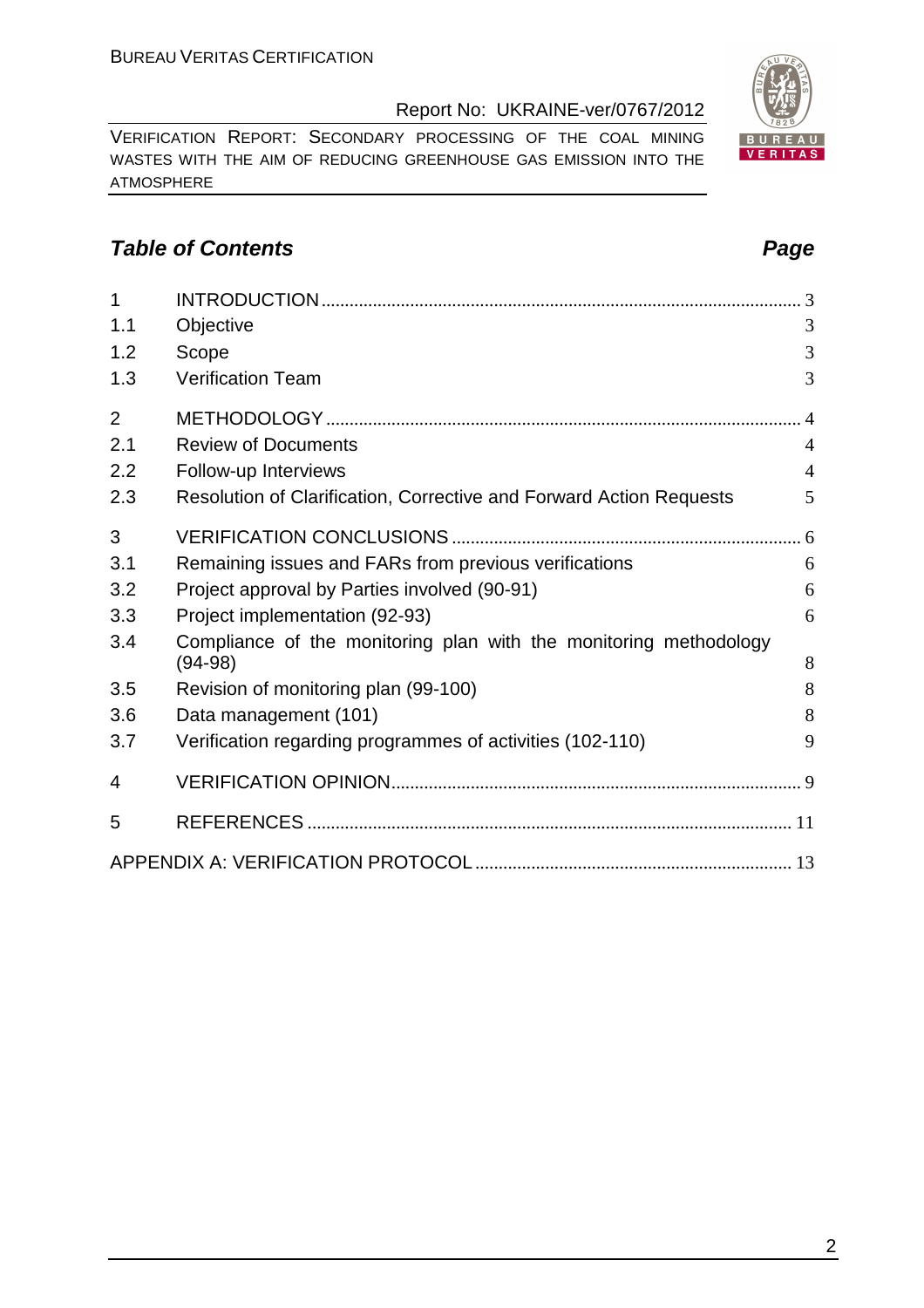VERIFICATION REPORT: SECONDARY PROCESSING OF THE COAL MINING WASTES WITH THE AIM OF REDUCING GREENHOUSE GAS EMISSION INTO THE ATMOSPHERE

#### **Table of Contents Page 2014**

| $\overline{1}$ |                                                                     |                |
|----------------|---------------------------------------------------------------------|----------------|
| 1.1            | Objective                                                           | 3              |
| 1.2            | Scope                                                               | 3              |
| 1.3            | <b>Verification Team</b>                                            | 3              |
| $\overline{2}$ |                                                                     | $\overline{4}$ |
| 2.1            | <b>Review of Documents</b>                                          | $\overline{4}$ |
| 2.2            | Follow-up Interviews                                                | $\overline{4}$ |
| 2.3            | Resolution of Clarification, Corrective and Forward Action Requests | 5              |
| 3              |                                                                     |                |
| 3.1            | Remaining issues and FARs from previous verifications               | 6              |
| 3.2            | Project approval by Parties involved (90-91)                        | 6              |
| 3.3            | Project implementation (92-93)                                      | 6              |
| 3.4            | Compliance of the monitoring plan with the monitoring methodology   |                |
|                | $(94-98)$                                                           | 8              |
| 3.5            | Revision of monitoring plan (99-100)                                | 8              |
| 3.6            | Data management (101)                                               | 8              |
| 3.7            | Verification regarding programmes of activities (102-110)           | 9              |
| 4              |                                                                     |                |
| 5              |                                                                     |                |
|                |                                                                     |                |

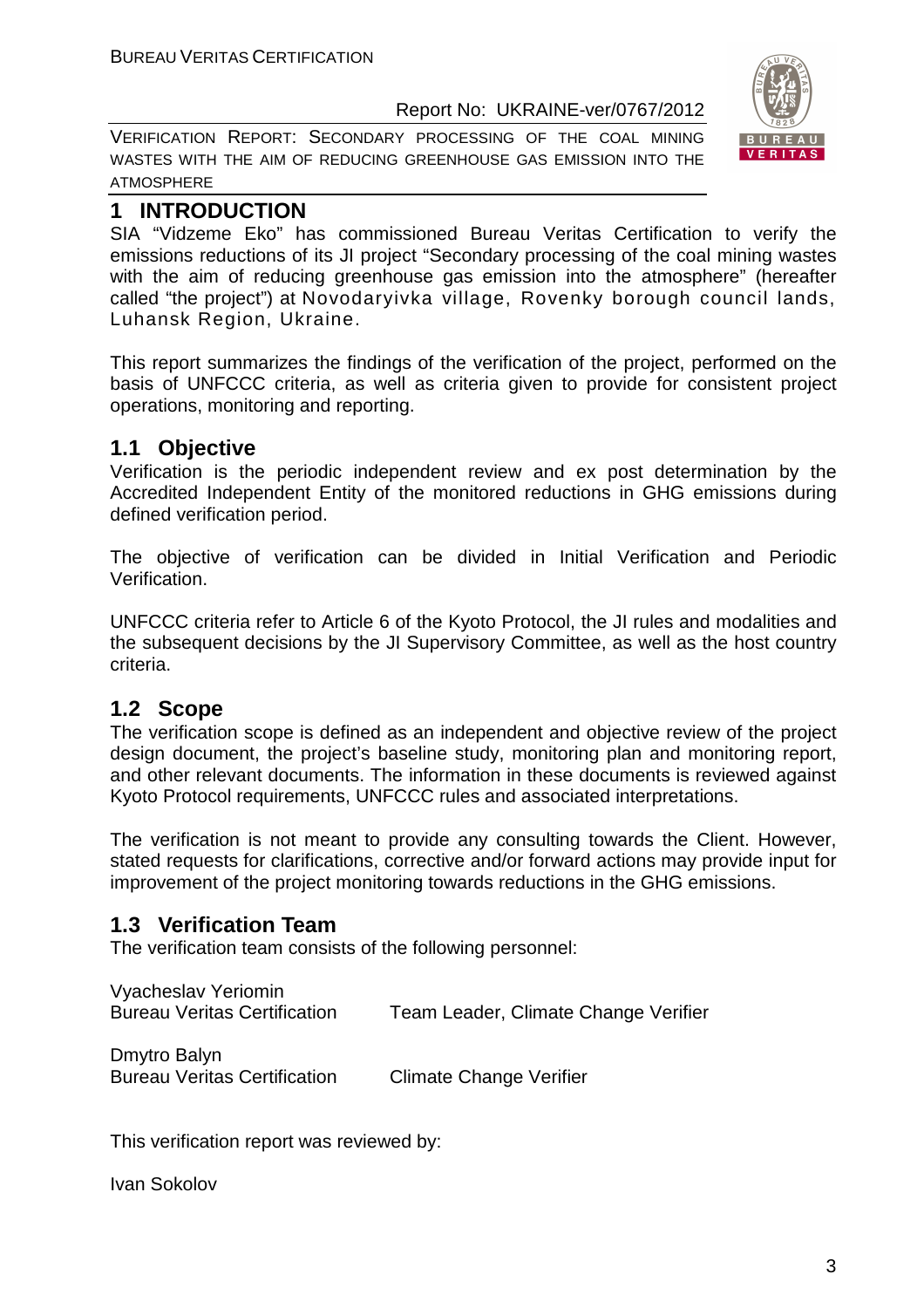VERIFICATION REPORT: SECONDARY PROCESSING OF THE COAL MINING WASTES WITH THE AIM OF REDUCING GREENHOUSE GAS EMISSION INTO THE ATMOSPHERE



#### **1 INTRODUCTION**

SIA "Vidzeme Eko" has commissioned Bureau Veritas Certification to verify the emissions reductions of its JI project "Secondary processing of the coal mining wastes with the aim of reducing greenhouse gas emission into the atmosphere" (hereafter called "the project") at Novodaryivka village, Rovenky borough council lands, Luhansk Region, Ukraine.

This report summarizes the findings of the verification of the project, performed on the basis of UNFCCC criteria, as well as criteria given to provide for consistent project operations, monitoring and reporting.

#### **1.1 Objective**

Verification is the periodic independent review and ex post determination by the Accredited Independent Entity of the monitored reductions in GHG emissions during defined verification period.

The objective of verification can be divided in Initial Verification and Periodic Verification.

UNFCCC criteria refer to Article 6 of the Kyoto Protocol, the JI rules and modalities and the subsequent decisions by the JI Supervisory Committee, as well as the host country criteria.

#### **1.2 Scope**

The verification scope is defined as an independent and objective review of the project design document, the project's baseline study, monitoring plan and monitoring report, and other relevant documents. The information in these documents is reviewed against Kyoto Protocol requirements, UNFCCC rules and associated interpretations.

The verification is not meant to provide any consulting towards the Client. However, stated requests for clarifications, corrective and/or forward actions may provide input for improvement of the project monitoring towards reductions in the GHG emissions.

#### **1.3 Verification Team**

The verification team consists of the following personnel:

| Vyacheslav Yeriomin<br><b>Bureau Veritas Certification</b> | Team Leader, Climate Change Verifier |
|------------------------------------------------------------|--------------------------------------|
| Dmytro Balyn<br><b>Bureau Veritas Certification</b>        | <b>Climate Change Verifier</b>       |

This verification report was reviewed by:

Ivan Sokolov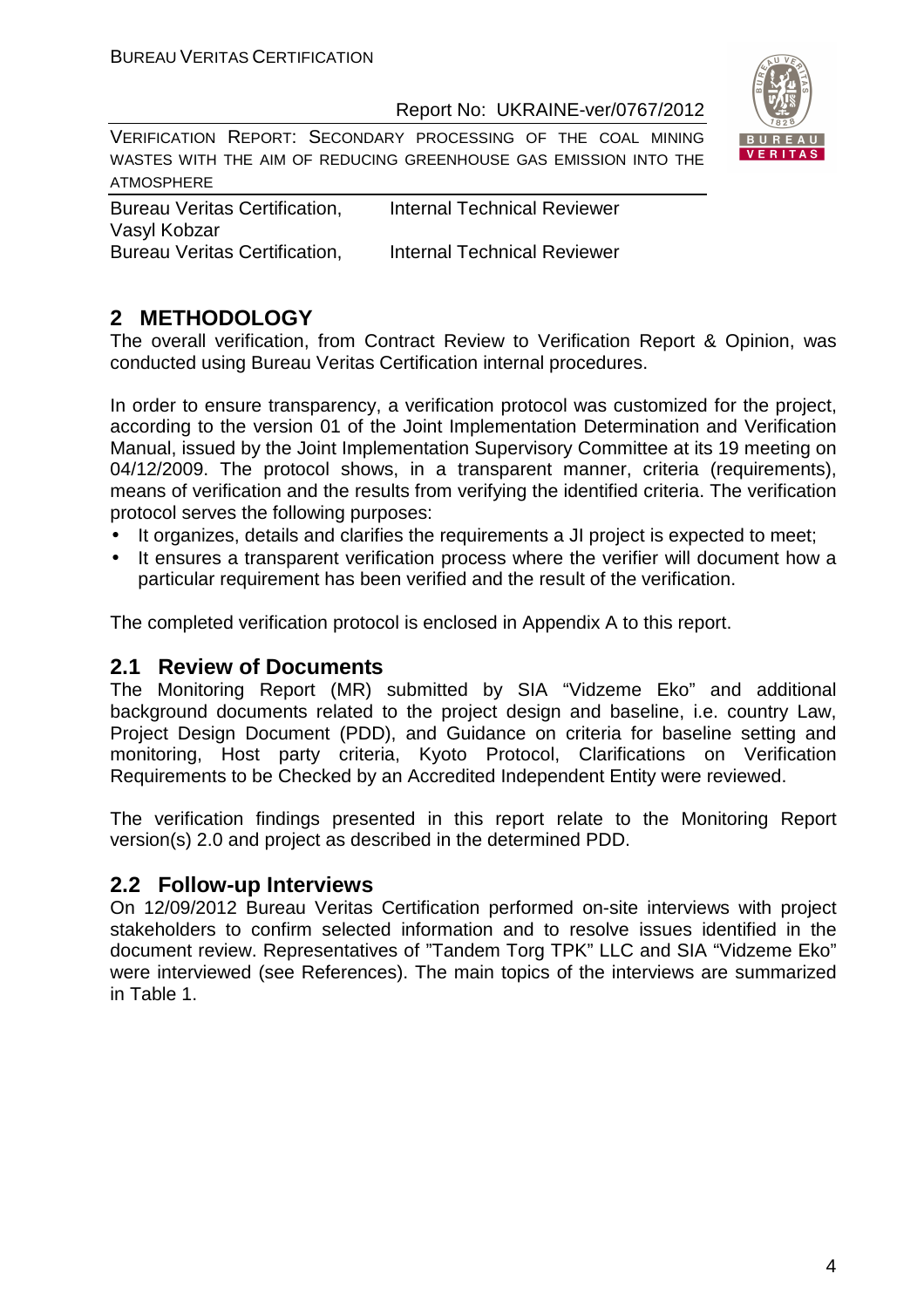

VERIFICATION REPORT: SECONDARY PROCESSING OF THE COAL MINING WASTES WITH THE AIM OF REDUCING GREENHOUSE GAS EMISSION INTO THE ATMOSPHERE

Bureau Veritas Certification, Internal Technical Reviewer Vasyl Kobzar Bureau Veritas Certification, Internal Technical Reviewer

### **2 METHODOLOGY**

The overall verification, from Contract Review to Verification Report & Opinion, was conducted using Bureau Veritas Certification internal procedures.

In order to ensure transparency, a verification protocol was customized for the project, according to the version 01 of the Joint Implementation Determination and Verification Manual, issued by the Joint Implementation Supervisory Committee at its 19 meeting on 04/12/2009. The protocol shows, in a transparent manner, criteria (requirements), means of verification and the results from verifying the identified criteria. The verification protocol serves the following purposes:

- It organizes, details and clarifies the requirements a JI project is expected to meet;
- It ensures a transparent verification process where the verifier will document how a particular requirement has been verified and the result of the verification.

The completed verification protocol is enclosed in Appendix A to this report.

#### **2.1 Review of Documents**

The Monitoring Report (MR) submitted by SIA "Vidzeme Eko" and additional background documents related to the project design and baseline, i.e. country Law, Project Design Document (PDD), and Guidance on criteria for baseline setting and monitoring, Host party criteria, Kyoto Protocol, Clarifications on Verification Requirements to be Checked by an Accredited Independent Entity were reviewed.

The verification findings presented in this report relate to the Monitoring Report version(s) 2.0 and project as described in the determined PDD.

#### **2.2 Follow-up Interviews**

On 12/09/2012 Bureau Veritas Certification performed on-site interviews with project stakeholders to confirm selected information and to resolve issues identified in the document review. Representatives of "Tandem Torg TPK" LLC and SIA "Vidzeme Eko" were interviewed (see References). The main topics of the interviews are summarized in Table 1.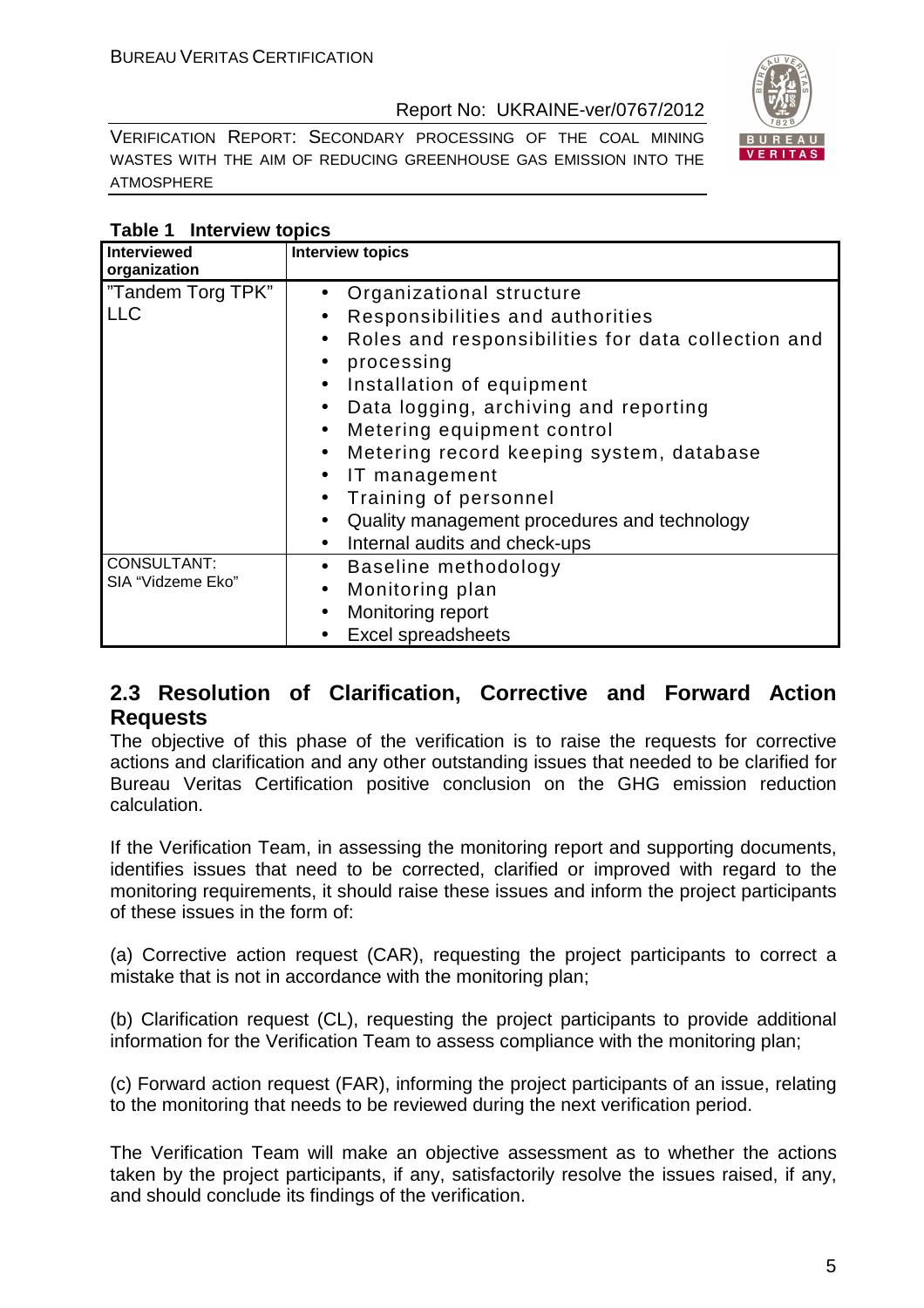VERIFICATION REPORT: SECONDARY PROCESSING OF THE COAL MINING WASTES WITH THE AIM OF REDUCING GREENHOUSE GAS EMISSION INTO THE ATMOSPHERE

| υ,<br>S<br>828        |
|-----------------------|
| Ø<br>В<br>R<br>л<br>Е |
| A S<br>ER.<br>т       |

 $\sqrt{11/8}$ 

#### **Table 1 Interview topics**

| <b>Interviewed</b> | <b>Interview topics</b>                                         |  |
|--------------------|-----------------------------------------------------------------|--|
| organization       |                                                                 |  |
| "Tandem Torg TPK"  | • Organizational structure                                      |  |
| <b>LLC</b>         | Responsibilities and authorities<br>$\bullet$                   |  |
|                    | Roles and responsibilities for data collection and<br>$\bullet$ |  |
|                    | processing<br>$\bullet$                                         |  |
|                    | Installation of equipment<br>$\bullet$                          |  |
|                    | Data logging, archiving and reporting<br>$\bullet$              |  |
|                    | Metering equipment control<br>$\bullet$                         |  |
|                    | Metering record keeping system, database<br>$\bullet$           |  |
|                    | IT management<br>$\bullet$                                      |  |
|                    | Training of personnel<br>$\bullet$                              |  |
|                    | Quality management procedures and technology<br>$\bullet$       |  |
|                    | Internal audits and check-ups<br>$\bullet$                      |  |
| <b>CONSULTANT:</b> | Baseline methodology<br>$\bullet$                               |  |
| SIA "Vidzeme Eko"  | Monitoring plan<br>$\bullet$                                    |  |
|                    | Monitoring report<br>$\bullet$                                  |  |
|                    | <b>Excel spreadsheets</b>                                       |  |

#### **2.3 Resolution of Clarification, Corrective and Forward Action Requests**

The objective of this phase of the verification is to raise the requests for corrective actions and clarification and any other outstanding issues that needed to be clarified for Bureau Veritas Certification positive conclusion on the GHG emission reduction calculation.

If the Verification Team, in assessing the monitoring report and supporting documents, identifies issues that need to be corrected, clarified or improved with regard to the monitoring requirements, it should raise these issues and inform the project participants of these issues in the form of:

(a) Corrective action request (CAR), requesting the project participants to correct a mistake that is not in accordance with the monitoring plan;

(b) Clarification request (CL), requesting the project participants to provide additional information for the Verification Team to assess compliance with the monitoring plan;

(c) Forward action request (FAR), informing the project participants of an issue, relating to the monitoring that needs to be reviewed during the next verification period.

The Verification Team will make an objective assessment as to whether the actions taken by the project participants, if any, satisfactorily resolve the issues raised, if any, and should conclude its findings of the verification.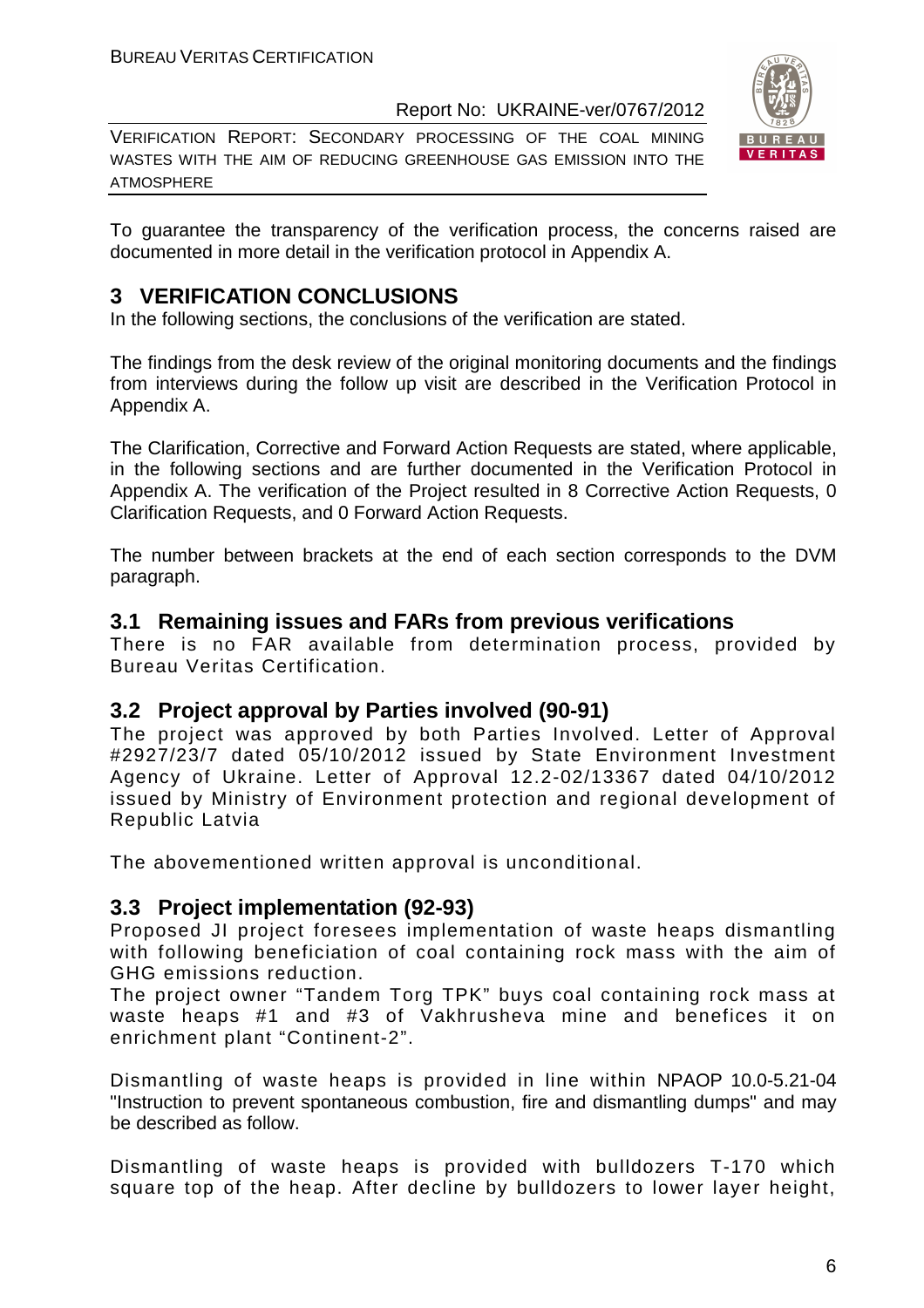VERIFICATION REPORT: SECONDARY PROCESSING OF THE COAL MINING WASTES WITH THE AIM OF REDUCING GREENHOUSE GAS EMISSION INTO THE ATMOSPHERE



To guarantee the transparency of the verification process, the concerns raised are documented in more detail in the verification protocol in Appendix A.

#### **3 VERIFICATION CONCLUSIONS**

In the following sections, the conclusions of the verification are stated.

The findings from the desk review of the original monitoring documents and the findings from interviews during the follow up visit are described in the Verification Protocol in Appendix A.

The Clarification, Corrective and Forward Action Requests are stated, where applicable, in the following sections and are further documented in the Verification Protocol in Appendix A. The verification of the Project resulted in 8 Corrective Action Requests, 0 Clarification Requests, and 0 Forward Action Requests.

The number between brackets at the end of each section corresponds to the DVM paragraph.

#### **3.1 Remaining issues and FARs from previous verifications**

There is no FAR available from determination process, provided by Bureau Veritas Certification.

#### **3.2 Project approval by Parties involved (90-91)**

The project was approved by both Parties Involved. Letter of Approval #2927/23/7 dated 05/10/2012 issued by State Environment Investment Agency of Ukraine. Letter of Approval 12.2-02/13367 dated 04/10/2012 issued by Ministry of Environment protection and regional development of Republic Latvia

The abovementioned written approval is unconditional.

#### **3.3 Project implementation (92-93)**

Proposed JI project foresees implementation of waste heaps dismantling with following beneficiation of coal containing rock mass with the aim of GHG emissions reduction.

The project owner "Tandem Torg TPK" buys coal containing rock mass at waste heaps #1 and #3 of Vakhrusheva mine and benefices it on enrichment plant "Continent-2".

Dismantling of waste heaps is provided in line within NPAOP 10.0-5.21-04 "Instruction to prevent spontaneous combustion, fire and dismantling dumps" and may be described as follow.

Dismantling of waste heaps is provided with bulldozers T-170 which square top of the heap. After decline by bulldozers to lower layer height,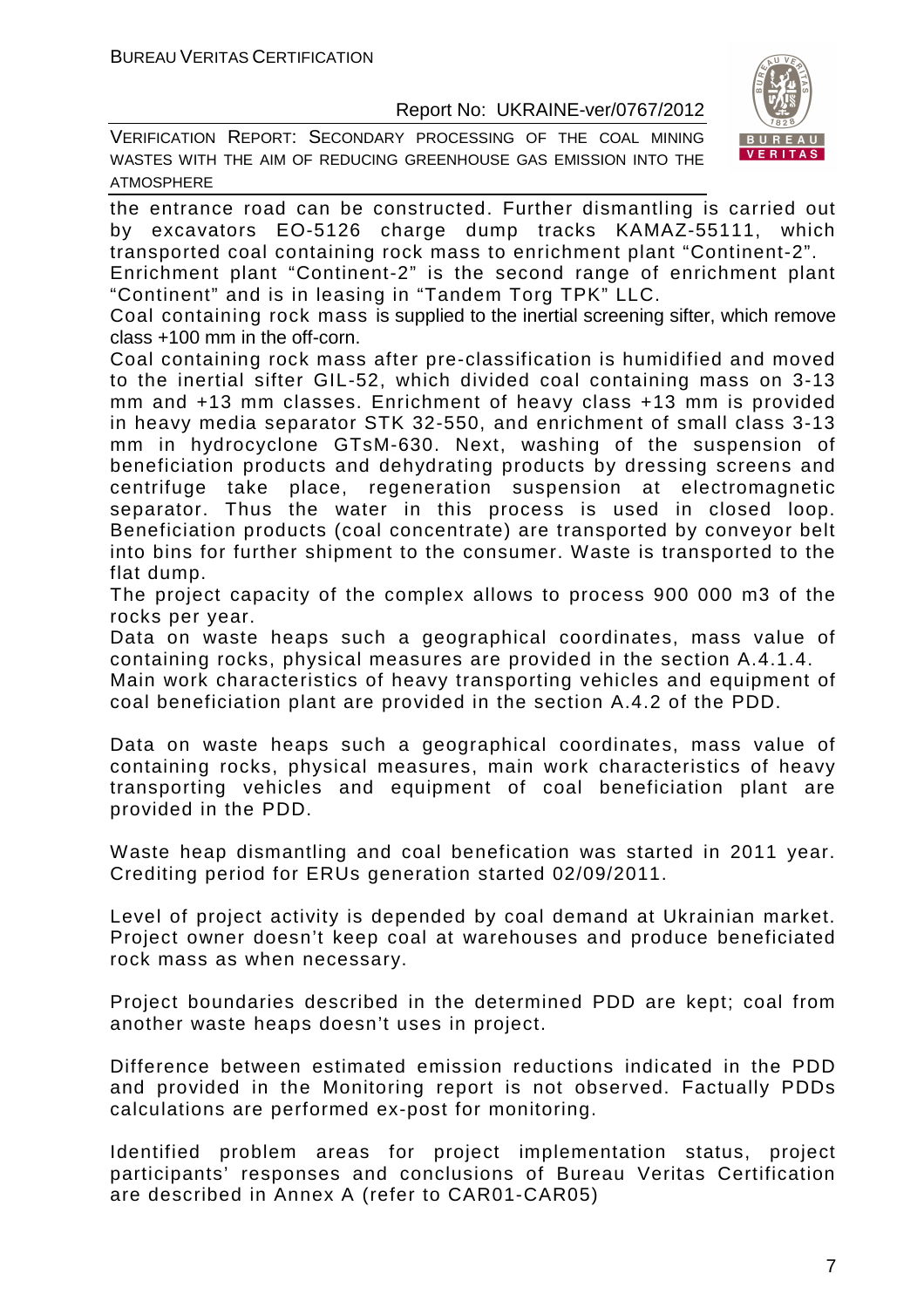VERIFICATION REPORT: SECONDARY PROCESSING OF THE COAL MINING WASTES WITH THE AIM OF REDUCING GREENHOUSE GAS EMISSION INTO THE ATMOSPHERE



the entrance road can be constructed. Further dismantling is carried out by excavators EO-5126 charge dump tracks KAMAZ-55111, which transported coal containing rock mass to enrichment plant "Continent-2".

Enrichment plant "Continent-2" is the second range of enrichment plant "Continent" and is in leasing in "Tandem Torg TPK" LLC.

Coal containing rock mass is supplied to the inertial screening sifter, which remove class +100 mm in the off-corn.

Coal containing rock mass after pre-classification is humidified and moved to the inertial sifter GIL-52, which divided coal containing mass on 3-13 mm and +13 mm classes. Enrichment of heavy class +13 mm is provided in heavy media separator STK 32-550, and enrichment of small class 3-13 mm in hydrocyclone GTsM-630. Next, washing of the suspension of beneficiation products and dehydrating products by dressing screens and centrifuge take place, regeneration suspension at electromagnetic separator. Thus the water in this process is used in closed loop. Beneficiation products (coal concentrate) are transported by conveyor belt into bins for further shipment to the consumer. Waste is transported to the flat dump.

The project capacity of the complex allows to process 900 000 m3 of the rocks per year.

Data on waste heaps such a geographical coordinates, mass value of containing rocks, physical measures are provided in the section A.4.1.4.

Main work characteristics of heavy transporting vehicles and equipment of coal beneficiation plant are provided in the section A.4.2 of the PDD.

Data on waste heaps such a geographical coordinates, mass value of containing rocks, physical measures, main work characteristics of heavy transporting vehicles and equipment of coal beneficiation plant are provided in the PDD.

Waste heap dismantling and coal benefication was started in 2011 year. Crediting period for ERUs generation started 02/09/2011.

Level of project activity is depended by coal demand at Ukrainian market. Project owner doesn't keep coal at warehouses and produce beneficiated rock mass as when necessary.

Project boundaries described in the determined PDD are kept; coal from another waste heaps doesn't uses in project.

Difference between estimated emission reductions indicated in the PDD and provided in the Monitoring report is not observed. Factually PDDs calculations are performed ex-post for monitoring.

Identified problem areas for project implementation status, project participants' responses and conclusions of Bureau Veritas Certification are described in Annex A (refer to CAR01-CAR05)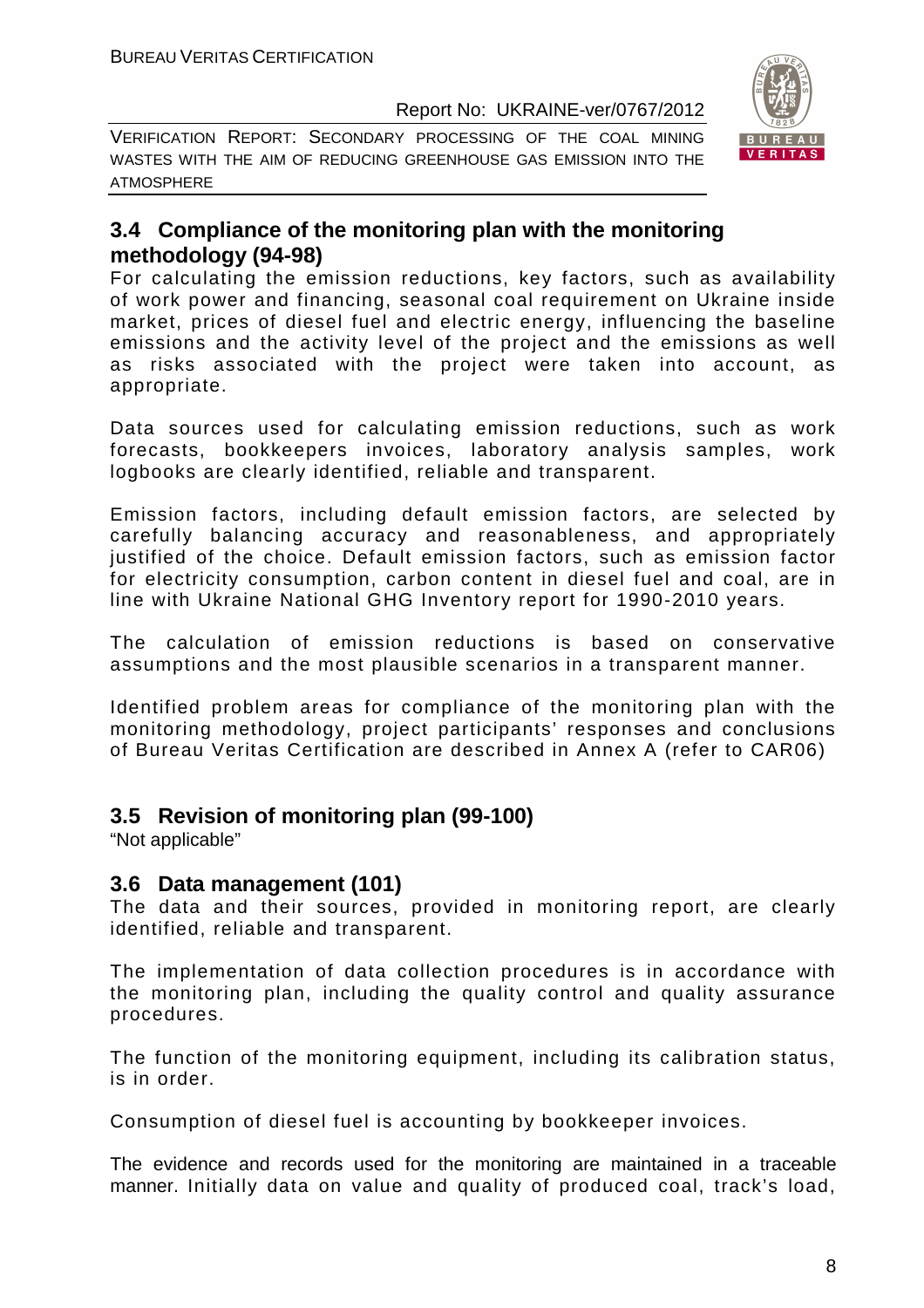

VERIFICATION REPORT: SECONDARY PROCESSING OF THE COAL MINING WASTES WITH THE AIM OF REDUCING GREENHOUSE GAS EMISSION INTO THE ATMOSPHERE

#### **3.4 Compliance of the monitoring plan with the monitoring methodology (94-98)**

For calculating the emission reductions, key factors, such as availability of work power and financing, seasonal coal requirement on Ukraine inside market, prices of diesel fuel and electric energy, influencing the baseline emissions and the activity level of the project and the emissions as well as risks associated with the project were taken into account, as appropriate.

Data sources used for calculating emission reductions, such as work forecasts, bookkeepers invoices, laboratory analysis samples, work logbooks are clearly identified, reliable and transparent.

Emission factors, including default emission factors, are selected by carefully balancing accuracy and reasonableness, and appropriately justified of the choice. Default emission factors, such as emission factor for electricity consumption, carbon content in diesel fuel and coal, are in line with Ukraine National GHG Inventory report for 1990-2010 years.

The calculation of emission reductions is based on conservative assumptions and the most plausible scenarios in a transparent manner.

Identified problem areas for compliance of the monitoring plan with the monitoring methodology, project participants' responses and conclusions of Bureau Veritas Certification are described in Annex A (refer to CAR06)

#### **3.5 Revision of monitoring plan (99-100)**

"Not applicable"

#### **3.6 Data management (101)**

The data and their sources, provided in monitoring report, are clearly identified, reliable and transparent.

The implementation of data collection procedures is in accordance with the monitoring plan, including the quality control and quality assurance procedures.

The function of the monitoring equipment, including its calibration status, is in order.

Consumption of diesel fuel is accounting by bookkeeper invoices.

The evidence and records used for the monitoring are maintained in a traceable manner. Initially data on value and quality of produced coal, track's load,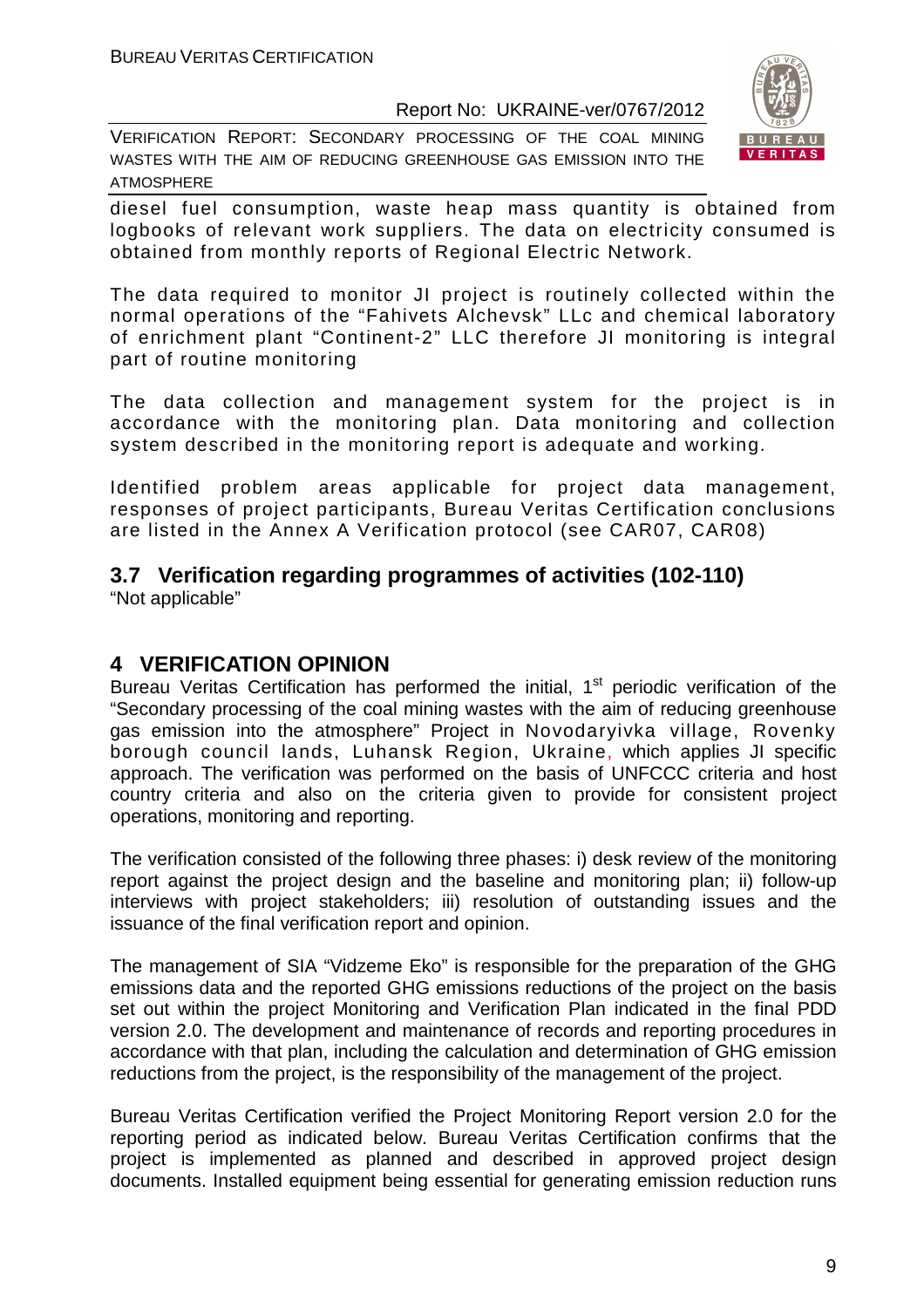VERIFICATION REPORT: SECONDARY PROCESSING OF THE COAL MINING WASTES WITH THE AIM OF REDUCING GREENHOUSE GAS EMISSION INTO THE ATMOSPHERE



diesel fuel consumption, waste heap mass quantity is obtained from logbooks of relevant work suppliers. The data on electricity consumed is obtained from monthly reports of Regional Electric Network.

The data required to monitor JI project is routinely collected within the normal operations of the "Fahivets Alchevsk" LLc and chemical laboratory of enrichment plant "Continent-2" LLC therefore JI monitoring is integral part of routine monitoring

The data collection and management system for the project is in accordance with the monitoring plan. Data monitoring and collection system described in the monitoring report is adequate and working.

Identified problem areas applicable for project data management, responses of project participants, Bureau Veritas Certification conclusions are listed in the Annex A Verification protocol (see CAR07, CAR08)

#### **3.7 Verification regarding programmes of activities (102-110)**

"Not applicable"

#### **4 VERIFICATION OPINION**

Bureau Veritas Certification has performed the initial,  $1<sup>st</sup>$  periodic verification of the "Secondary processing of the coal mining wastes with the aim of reducing greenhouse gas emission into the atmosphere" Project in Novodaryivka village, Rovenky borough council lands, Luhansk Region, Ukraine, which applies JI specific approach. The verification was performed on the basis of UNFCCC criteria and host country criteria and also on the criteria given to provide for consistent project operations, monitoring and reporting.

The verification consisted of the following three phases: i) desk review of the monitoring report against the project design and the baseline and monitoring plan; ii) follow-up interviews with project stakeholders; iii) resolution of outstanding issues and the issuance of the final verification report and opinion.

The management of SIA "Vidzeme Eko" is responsible for the preparation of the GHG emissions data and the reported GHG emissions reductions of the project on the basis set out within the project Monitoring and Verification Plan indicated in the final PDD version 2.0. The development and maintenance of records and reporting procedures in accordance with that plan, including the calculation and determination of GHG emission reductions from the project, is the responsibility of the management of the project.

Bureau Veritas Certification verified the Project Monitoring Report version 2.0 for the reporting period as indicated below. Bureau Veritas Certification confirms that the project is implemented as planned and described in approved project design documents. Installed equipment being essential for generating emission reduction runs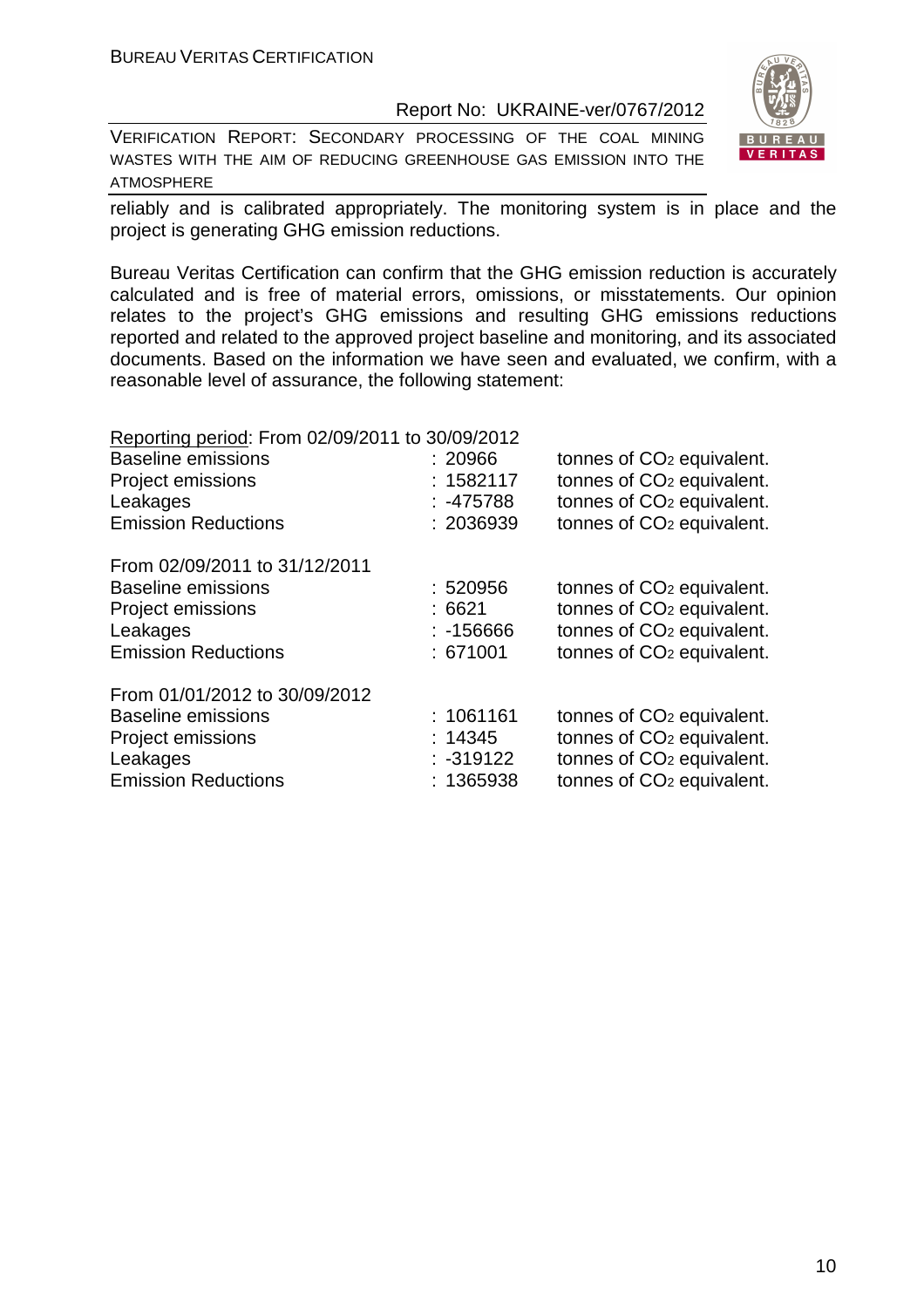VERIFICATION REPORT: SECONDARY PROCESSING OF THE COAL MINING WASTES WITH THE AIM OF REDUCING GREENHOUSE GAS EMISSION INTO THE ATMOSPHERE



reliably and is calibrated appropriately. The monitoring system is in place and the project is generating GHG emission reductions.

Bureau Veritas Certification can confirm that the GHG emission reduction is accurately calculated and is free of material errors, omissions, or misstatements. Our opinion relates to the project's GHG emissions and resulting GHG emissions reductions reported and related to the approved project baseline and monitoring, and its associated documents. Based on the information we have seen and evaluated, we confirm, with a reasonable level of assurance, the following statement:

| Reporting period: From 02/09/2011 to 30/09/2012 |             |                                       |
|-------------------------------------------------|-------------|---------------------------------------|
| <b>Baseline emissions</b>                       | : 20966     | tonnes of CO <sub>2</sub> equivalent. |
| <b>Project emissions</b>                        | : 1582117   | tonnes of CO <sub>2</sub> equivalent. |
| Leakages                                        | $: -475788$ | tonnes of CO <sub>2</sub> equivalent. |
| <b>Emission Reductions</b>                      | : 2036939   | tonnes of CO <sub>2</sub> equivalent. |
| From 02/09/2011 to 31/12/2011                   |             |                                       |
| <b>Baseline emissions</b>                       | :520956     | tonnes of CO <sub>2</sub> equivalent. |
| <b>Project emissions</b>                        | :6621       | tonnes of CO <sub>2</sub> equivalent. |
| Leakages                                        | $: -156666$ | tonnes of CO <sub>2</sub> equivalent. |
| <b>Emission Reductions</b>                      | : 671001    | tonnes of CO <sub>2</sub> equivalent. |
| From 01/01/2012 to 30/09/2012                   |             |                                       |
| <b>Baseline emissions</b>                       | : 1061161   | tonnes of CO <sub>2</sub> equivalent. |
| <b>Project emissions</b>                        | : 14345     | tonnes of CO <sub>2</sub> equivalent. |
| Leakages                                        | $: -319122$ | tonnes of CO <sub>2</sub> equivalent. |
| <b>Emission Reductions</b>                      | : 1365938   | tonnes of CO <sub>2</sub> equivalent. |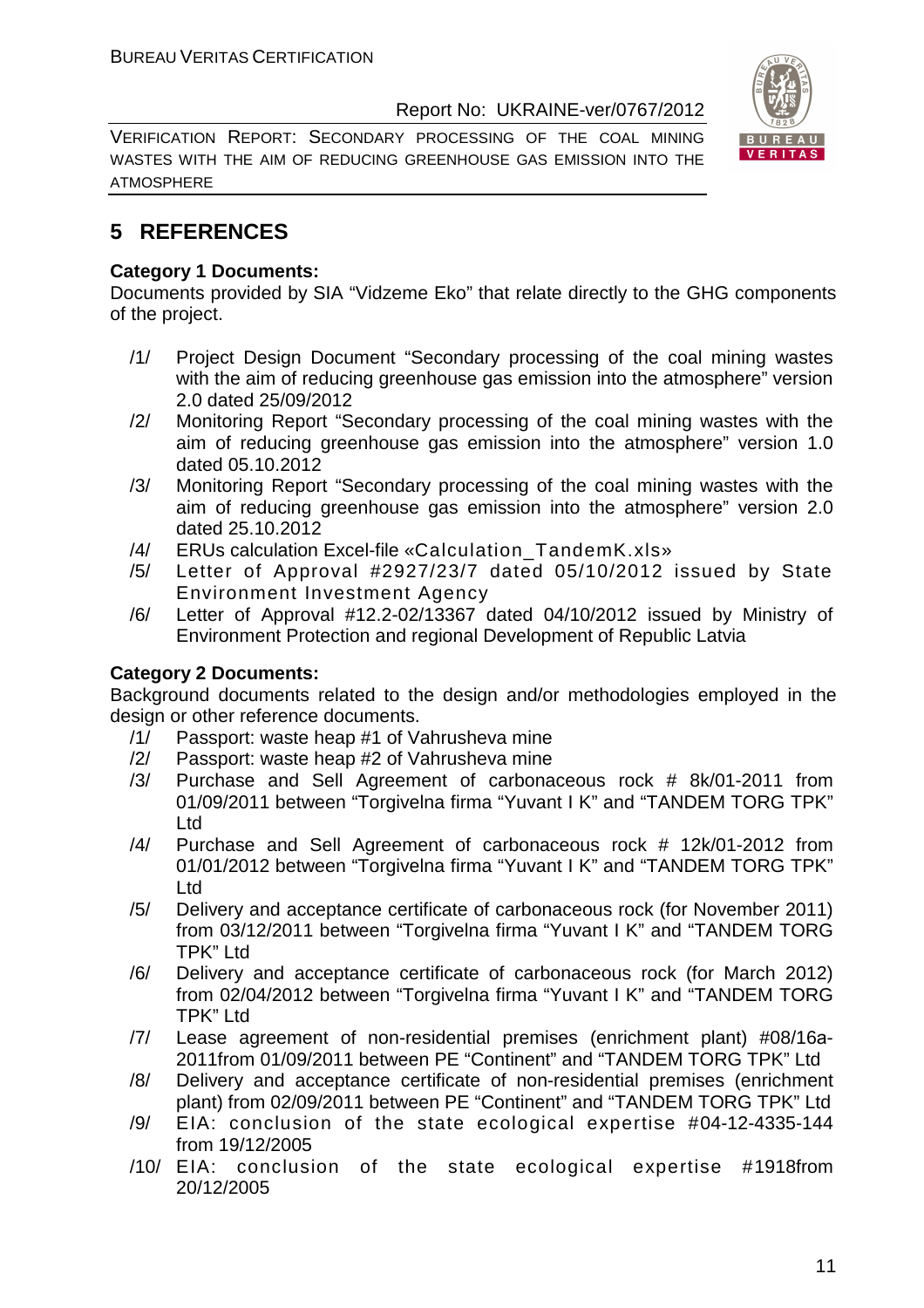VERIFICATION REPORT: SECONDARY PROCESSING OF THE COAL MINING WASTES WITH THE AIM OF REDUCING GREENHOUSE GAS EMISSION INTO THE ATMOSPHERE



#### **5 REFERENCES**

#### **Category 1 Documents:**

Documents provided by SIA "Vidzeme Eko" that relate directly to the GHG components of the project.

- /1/ Project Design Document "Secondary processing of the coal mining wastes with the aim of reducing greenhouse gas emission into the atmosphere" version 2.0 dated 25/09/2012
- /2/ Monitoring Report "Secondary processing of the coal mining wastes with the aim of reducing greenhouse gas emission into the atmosphere" version 1.0 dated 05.10.2012
- /3/ Monitoring Report "Secondary processing of the coal mining wastes with the aim of reducing greenhouse gas emission into the atmosphere" version 2.0 dated 25.10.2012
- /4/ ERUs calculation Excel-file «Calculation\_TandemK.xls»
- /5/ Letter of Approval #2927/23/7 dated 05/10/2012 issued by State Environment Investment Agency
- /6/ Letter of Approval #12.2-02/13367 dated 04/10/2012 issued by Ministry of Environment Protection and regional Development of Republic Latvia

#### **Category 2 Documents:**

Background documents related to the design and/or methodologies employed in the design or other reference documents.

- /1/ Passport: waste heap #1 of Vahrusheva mine
- /2/ Passport: waste heap #2 of Vahrusheva mine
- /3/ Purchase and Sell Agreement of carbonaceous rock # 8k/01-2011 from 01/09/2011 between "Torgivelna firma "Yuvant I K" and "TANDEM TORG TPK" Ltd
- /4/ Purchase and Sell Agreement of carbonaceous rock # 12k/01-2012 from 01/01/2012 between "Torgivelna firma "Yuvant I K" and "TANDEM TORG TPK" Ltd
- /5/ Delivery and acceptance certificate of carbonaceous rock (for November 2011) from 03/12/2011 between "Torgivelna firma "Yuvant I K" and "TANDEM TORG TPK" Ltd
- /6/ Delivery and acceptance certificate of carbonaceous rock (for March 2012) from 02/04/2012 between "Torgivelna firma "Yuvant I K" and "TANDEM TORG TPK" Ltd
- /7/ Lease agreement of non-residential premises (enrichment plant) #08/16а-2011from 01/09/2011 between PE "Continent" and "TANDEM TORG TPK" Ltd
- /8/ Delivery and acceptance certificate of non-residential premises (enrichment plant) from 02/09/2011 between PE "Continent" and "TANDEM TORG TPK" Ltd
- /9/ EIA: conclusion of the state ecological expertise #04-12-4335-144 from 19/12/2005
- /10/ EIA: conclusion of the state ecological expertise #1918from 20/12/2005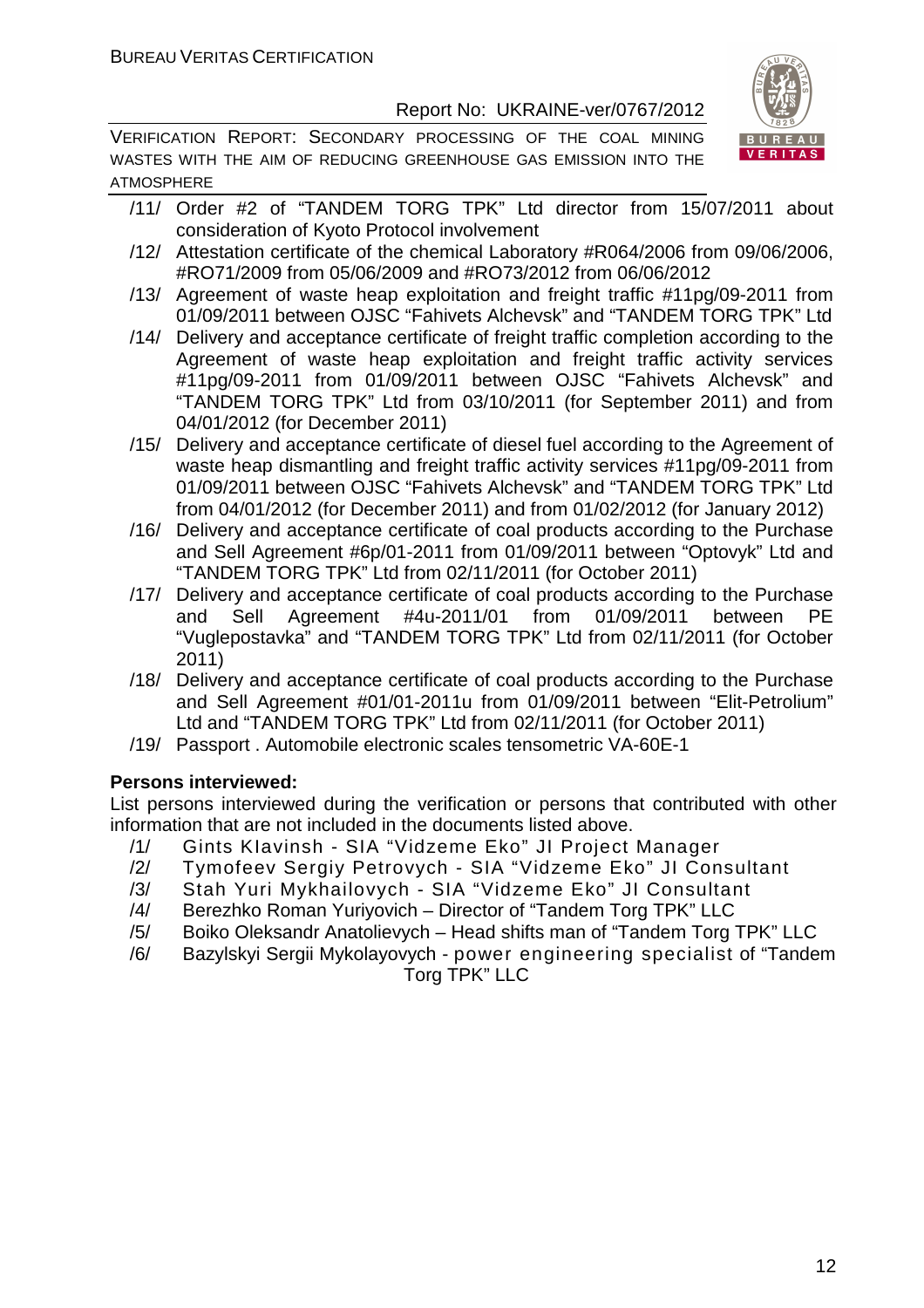VERIFICATION REPORT: SECONDARY PROCESSING OF THE COAL MINING WASTES WITH THE AIM OF REDUCING GREENHOUSE GAS EMISSION INTO THE ATMOSPHERE



- /11/ Order #2 of "TANDEM TORG TPK" Ltd director from 15/07/2011 about consideration of Kyoto Protocol involvement
- /12/ Attestation certificate of the chemical Laboratory #R064/2006 from 09/06/2006, #RO71/2009 from 05/06/2009 and #RO73/2012 from 06/06/2012
- /13/ Agreement of waste heap exploitation and freight traffic #11pg/09-2011 from 01/09/2011 between OJSC "Fahivets Alchevsk" and "TANDEM TORG TPK" Ltd
- /14/ Delivery and acceptance certificate of freight traffic completion according to the Agreement of waste heap exploitation and freight traffic activity services #11pg/09-2011 from 01/09/2011 between OJSC "Fahivets Alchevsk" and "TANDEM TORG TPK" Ltd from 03/10/2011 (for September 2011) and from 04/01/2012 (for December 2011)
- /15/ Delivery and acceptance certificate of diesel fuel according to the Agreement of waste heap dismantling and freight traffic activity services #11pg/09-2011 from 01/09/2011 between OJSC "Fahivets Alchevsk" and "TANDEM TORG TPK" Ltd from 04/01/2012 (for December 2011) and from 01/02/2012 (for January 2012)
- /16/ Delivery and acceptance certificate of coal products according to the Purchase and Sell Agreement #6p/01-2011 from 01/09/2011 between "Optovyk" Ltd and "TANDEM TORG TPK" Ltd from 02/11/2011 (for October 2011)
- /17/ Delivery and acceptance certificate of coal products according to the Purchase and Sell Agreement #4u-2011/01 from 01/09/2011 between PE "Vuglepostavka" and "TANDEM TORG TPK" Ltd from 02/11/2011 (for October 2011)
- /18/ Delivery and acceptance certificate of coal products according to the Purchase and Sell Agreement #01/01-2011u from 01/09/2011 between "Elit-Petrolium" Ltd and "TANDEM TORG TPK" Ltd from 02/11/2011 (for October 2011)
- /19/ Passport . Automobile electronic scales tensometric VA-60E-1

#### **Persons interviewed:**

List persons interviewed during the verification or persons that contributed with other information that are not included in the documents listed above.

- /1/ Gints KIavinsh SIA "Vidzeme Eko" JI Project Manager
- /2/ Tymofeev Sergiy Petrovych SIA "Vidzeme Eko" JI Consultant
- /3/ Stah Yuri Mykhailovych SIA "Vidzeme Eko" JI Consultant
- /4/ Berezhko Roman Yuriyovich Director of "Tandem Torg TPK" LLC
- /5/ Boiko Oleksandr Anatolievych Head shifts man of "Tandem Torg TPK" LLC
- /6/ Bazylskyi Sergii Mykolayovych power engineering specialist of "Tandem Torg TPK" LLC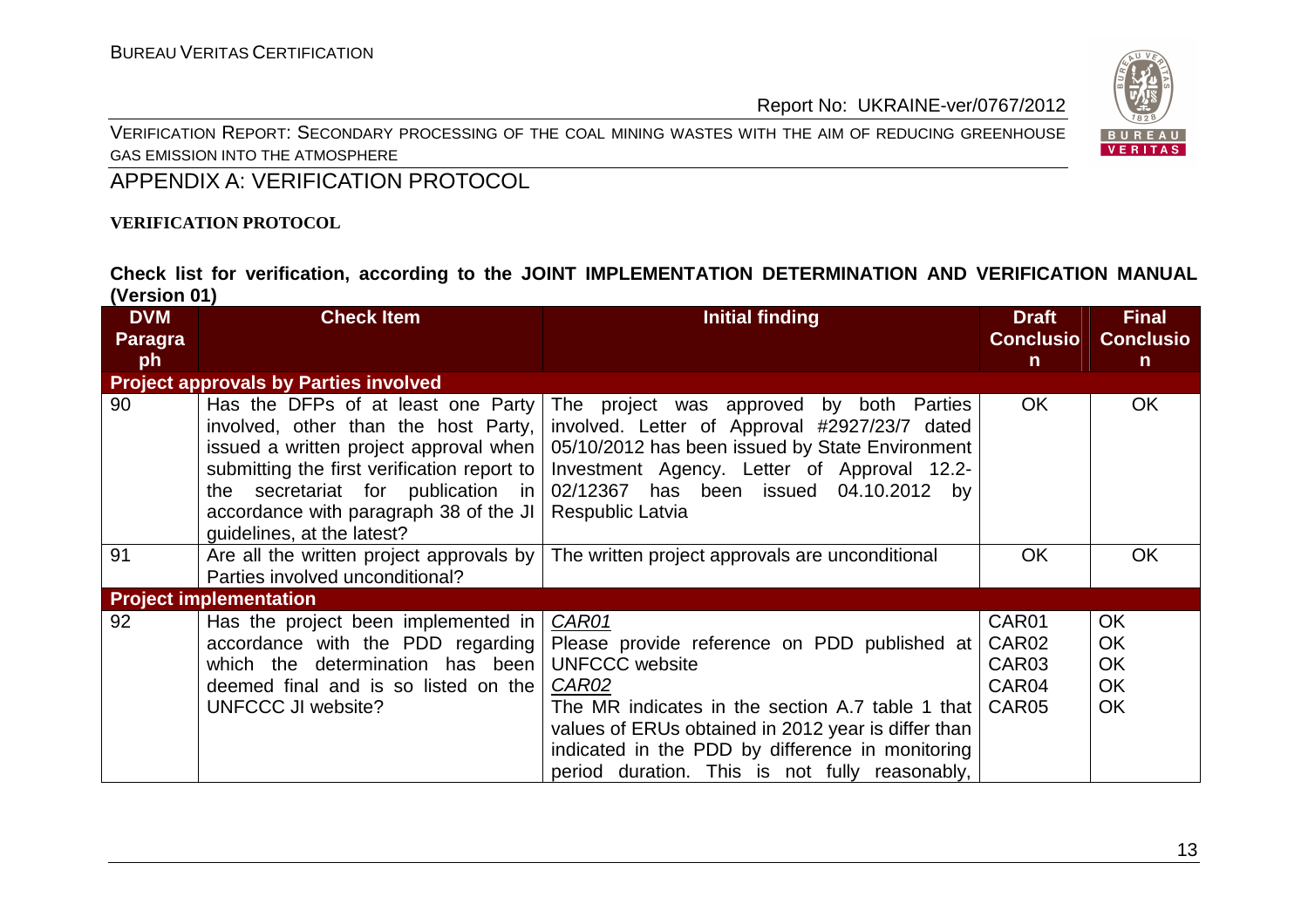VERIFICATION REPORT: SECONDARY PROCESSING OF THE COAL MINING WASTES WITH THE AIM OF REDUCING GREENHOUSE GAS EMISSION INTO THE ATMOSPHERE



APPENDIX A: VERIFICATION PROTOCOL

#### **VERIFICATION PROTOCOL**

**Check list for verification, according to the JOINT IMPLEMENTATION DETERMINATION AND VERIFICATION MANUAL (Version 01)** 

| <b>DVM</b><br><b>Paragra</b> | <b>Check Item</b>                                                                                                                                                                                                                                                                   | <b>Initial finding</b>                                                                                                                                                                                                                                                                                   | <b>Draft</b><br><b>Conclusio</b>                      | <b>Final</b><br><b>Conclusio</b>                              |
|------------------------------|-------------------------------------------------------------------------------------------------------------------------------------------------------------------------------------------------------------------------------------------------------------------------------------|----------------------------------------------------------------------------------------------------------------------------------------------------------------------------------------------------------------------------------------------------------------------------------------------------------|-------------------------------------------------------|---------------------------------------------------------------|
| ph                           |                                                                                                                                                                                                                                                                                     |                                                                                                                                                                                                                                                                                                          | $\mathsf{n}$                                          | $\mathsf{n}$                                                  |
|                              | <b>Project approvals by Parties involved</b>                                                                                                                                                                                                                                        |                                                                                                                                                                                                                                                                                                          |                                                       |                                                               |
| 90                           | Has the DFPs of at least one Party<br>involved, other than the host Party,<br>issued a written project approval when<br>submitting the first verification report to  <br>the secretariat for publication in<br>accordance with paragraph 38 of the JI<br>guidelines, at the latest? | The project was approved by both Parties<br>involved. Letter of Approval #2927/23/7 dated<br>05/10/2012 has been issued by State Environment<br>Investment Agency. Letter of Approval 12.2-<br>02/12367 has been issued 04.10.2012 by<br>Respublic Latvia                                                | <b>OK</b>                                             | <b>OK</b>                                                     |
| 91                           | Are all the written project approvals by<br>Parties involved unconditional?                                                                                                                                                                                                         | The written project approvals are unconditional                                                                                                                                                                                                                                                          | <b>OK</b>                                             | <b>OK</b>                                                     |
|                              | <b>Project implementation</b>                                                                                                                                                                                                                                                       |                                                                                                                                                                                                                                                                                                          |                                                       |                                                               |
| 92                           | Has the project been implemented in<br>accordance with the PDD regarding<br>which the determination has been<br>deemed final and is so listed on the<br><b>UNFCCC JI website?</b>                                                                                                   | CAR01<br>Please provide reference on PDD published at<br><b>UNFCCC</b> website<br>CAR02<br>The MR indicates in the section A.7 table 1 that<br>values of ERUs obtained in 2012 year is differ than<br>indicated in the PDD by difference in monitoring<br>period duration. This is not fully reasonably, | CAR01<br>CAR02<br>CAR03<br>CAR04<br>CAR <sub>05</sub> | <b>OK</b><br><b>OK</b><br><b>OK</b><br><b>OK</b><br><b>OK</b> |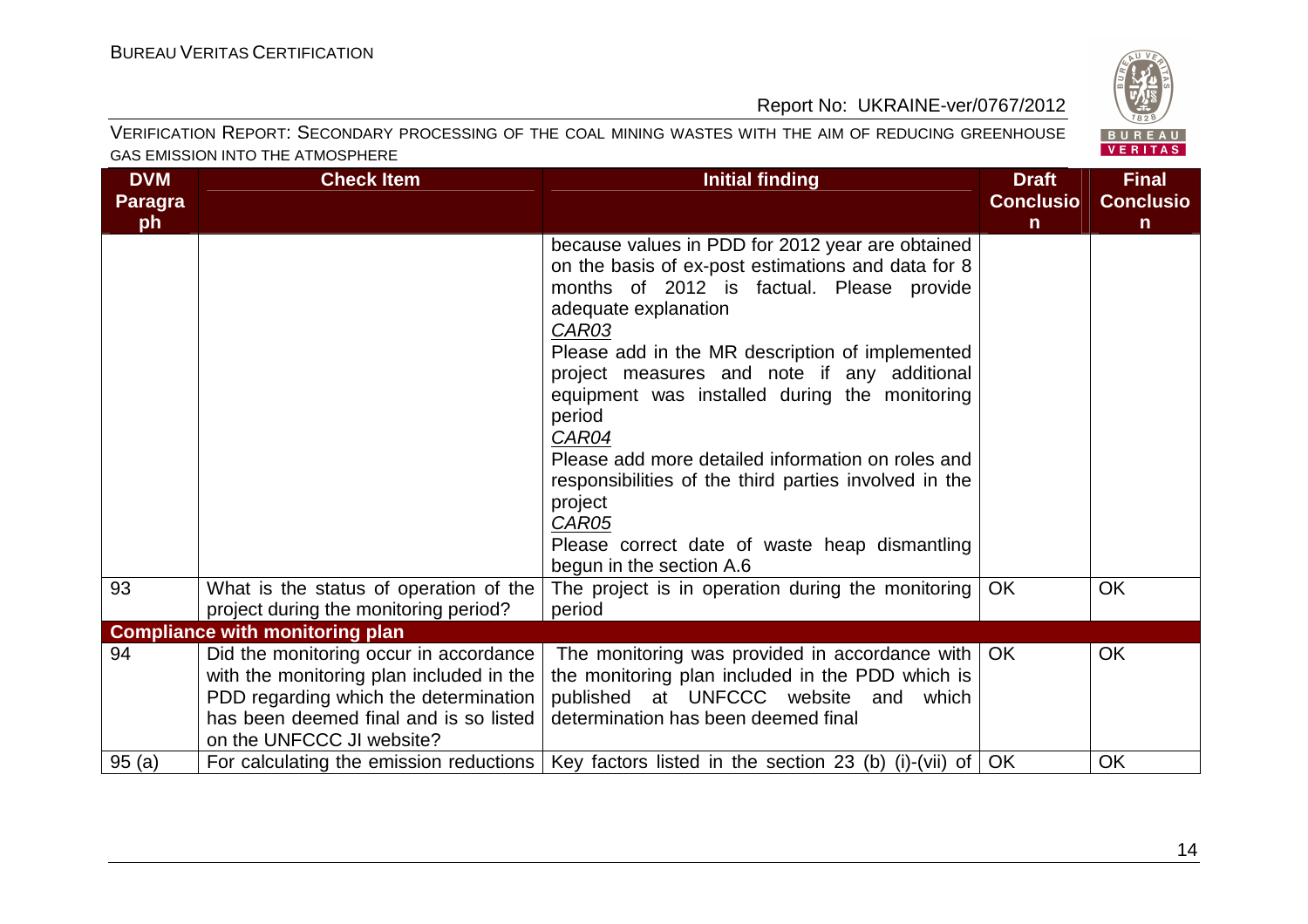

#### VERIFICATION REPORT: SECONDARY PROCESSING OF THE COAL MINING WASTES WITH THE AIM OF REDUCING GREENHOUSE GAS EMISSION INTO THE ATMOSPHERE

| <b>DVM</b>     | <b>Check Item</b>                        | <b>Initial finding</b>                                                                          | <b>Draft</b>     | <b>Final</b>     |
|----------------|------------------------------------------|-------------------------------------------------------------------------------------------------|------------------|------------------|
| <b>Paragra</b> |                                          |                                                                                                 | <b>Conclusio</b> | <b>Conclusio</b> |
| ph             |                                          |                                                                                                 | $\mathsf{n}$     | $\mathbf n$      |
|                |                                          | because values in PDD for 2012 year are obtained                                                |                  |                  |
|                |                                          | on the basis of ex-post estimations and data for 8<br>months of 2012 is factual. Please provide |                  |                  |
|                |                                          | adequate explanation                                                                            |                  |                  |
|                |                                          | CAR03                                                                                           |                  |                  |
|                |                                          | Please add in the MR description of implemented                                                 |                  |                  |
|                |                                          | project measures and note if any additional                                                     |                  |                  |
|                |                                          | equipment was installed during the monitoring                                                   |                  |                  |
|                |                                          | period                                                                                          |                  |                  |
|                |                                          | CAR04                                                                                           |                  |                  |
|                |                                          | Please add more detailed information on roles and                                               |                  |                  |
|                |                                          | responsibilities of the third parties involved in the                                           |                  |                  |
|                |                                          | project                                                                                         |                  |                  |
|                |                                          | CAR05                                                                                           |                  |                  |
|                |                                          | Please correct date of waste heap dismantling                                                   |                  |                  |
| 93             | What is the status of operation of the   | begun in the section A.6<br>The project is in operation during the monitoring                   | <b>OK</b>        | <b>OK</b>        |
|                | project during the monitoring period?    | period                                                                                          |                  |                  |
|                | <b>Compliance with monitoring plan</b>   |                                                                                                 |                  |                  |
| 94             | Did the monitoring occur in accordance   | The monitoring was provided in accordance with $\overline{\phantom{a}}$ OK                      |                  | <b>OK</b>        |
|                | with the monitoring plan included in the | the monitoring plan included in the PDD which is                                                |                  |                  |
|                | PDD regarding which the determination    | published at UNFCCC website and which                                                           |                  |                  |
|                | has been deemed final and is so listed   | determination has been deemed final                                                             |                  |                  |
|                | on the UNFCCC JI website?                |                                                                                                 |                  |                  |
| 95(a)          | For calculating the emission reductions  | Key factors listed in the section 23 (b) (i)-(vii) of $\vert$ OK                                |                  | <b>OK</b>        |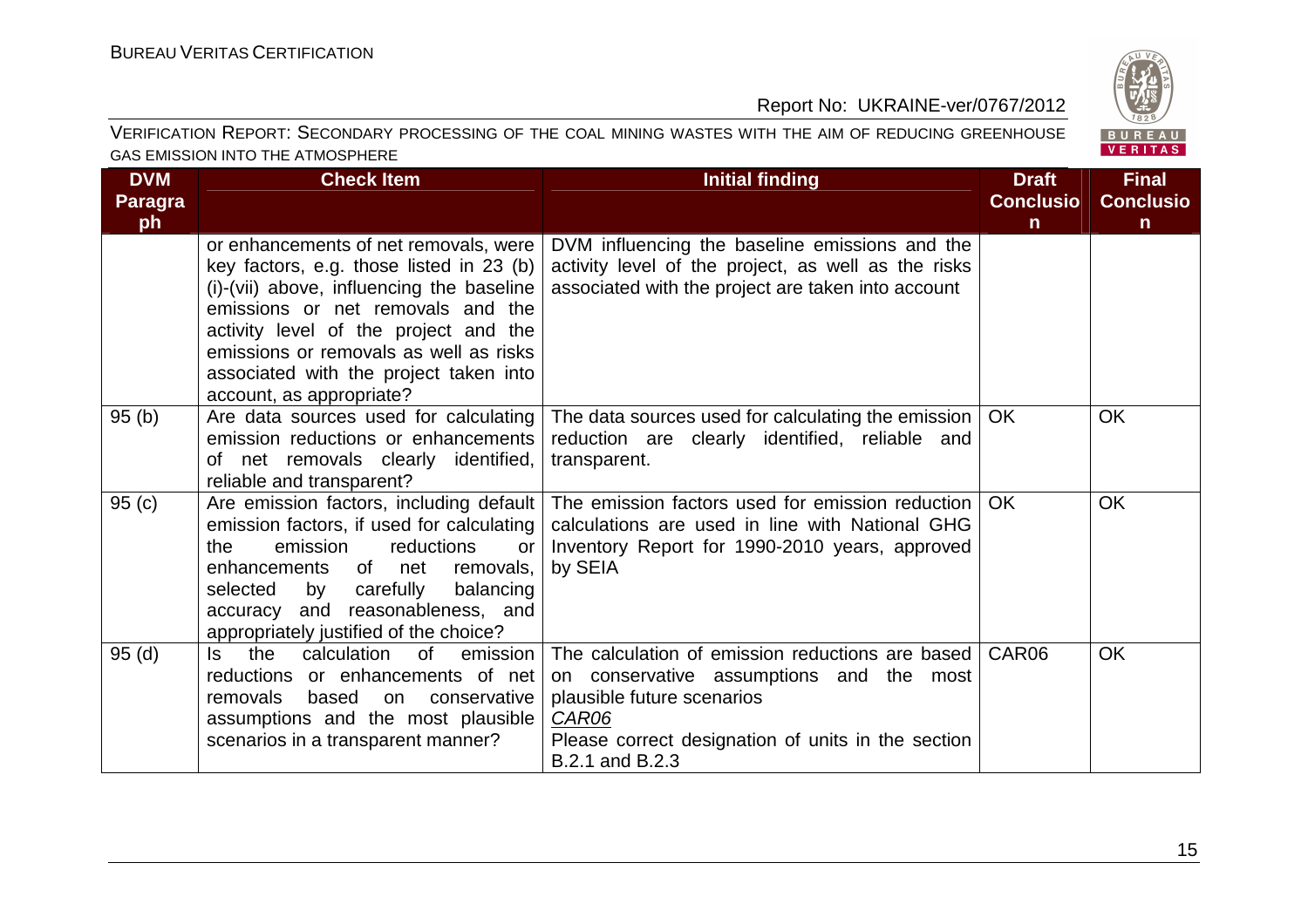

#### VERIFICATION REPORT: SECONDARY PROCESSING OF THE COAL MINING WASTES WITH THE AIM OF REDUCING GREENHOUSE GAS EMISSION INTO THE ATMOSPHERE

| <b>DVM</b>     | <b>Check Item</b>                                                                                                                                                                                                                                                                                                            | <b>Initial finding</b>                                                                                                                                                                                              | <b>Draft</b>     | <b>Final</b>     |
|----------------|------------------------------------------------------------------------------------------------------------------------------------------------------------------------------------------------------------------------------------------------------------------------------------------------------------------------------|---------------------------------------------------------------------------------------------------------------------------------------------------------------------------------------------------------------------|------------------|------------------|
| <b>Paragra</b> |                                                                                                                                                                                                                                                                                                                              |                                                                                                                                                                                                                     | <b>Conclusio</b> | <b>Conclusio</b> |
| ph             |                                                                                                                                                                                                                                                                                                                              |                                                                                                                                                                                                                     | $\mathsf{n}$     | $\mathsf{n}$     |
|                | or enhancements of net removals, were<br>key factors, e.g. those listed in 23 (b)<br>(i)-(vii) above, influencing the baseline<br>emissions or net removals and the<br>activity level of the project and the<br>emissions or removals as well as risks<br>associated with the project taken into<br>account, as appropriate? | DVM influencing the baseline emissions and the<br>activity level of the project, as well as the risks<br>associated with the project are taken into account                                                         |                  |                  |
| 95(b)          | Are data sources used for calculating<br>emission reductions or enhancements<br>of net removals clearly identified,<br>reliable and transparent?                                                                                                                                                                             | The data sources used for calculating the emission  <br>reduction are clearly identified, reliable and<br>transparent.                                                                                              | OK.              | <b>OK</b>        |
| 95(c)          | Are emission factors, including default<br>emission factors, if used for calculating<br>emission<br>the<br>reductions<br>or<br>enhancements of net<br>removals,<br>carefully<br>balancing<br>selected<br>by<br>accuracy and reasonableness, and<br>appropriately justified of the choice?                                    | The emission factors used for emission reduction<br>calculations are used in line with National GHG<br>Inventory Report for 1990-2010 years, approved<br>by SEIA                                                    | OK.              | <b>OK</b>        |
| 95(d)          | the<br>calculation<br>0f<br>ls.<br>emission<br>reductions or enhancements of net<br>removals<br>based<br>conservative<br>on<br>assumptions and the most plausible<br>scenarios in a transparent manner?                                                                                                                      | The calculation of emission reductions are based<br>on conservative assumptions and the most<br>plausible future scenarios<br><b>CAR06</b><br>Please correct designation of units in the section<br>B.2.1 and B.2.3 | CAR06            | <b>OK</b>        |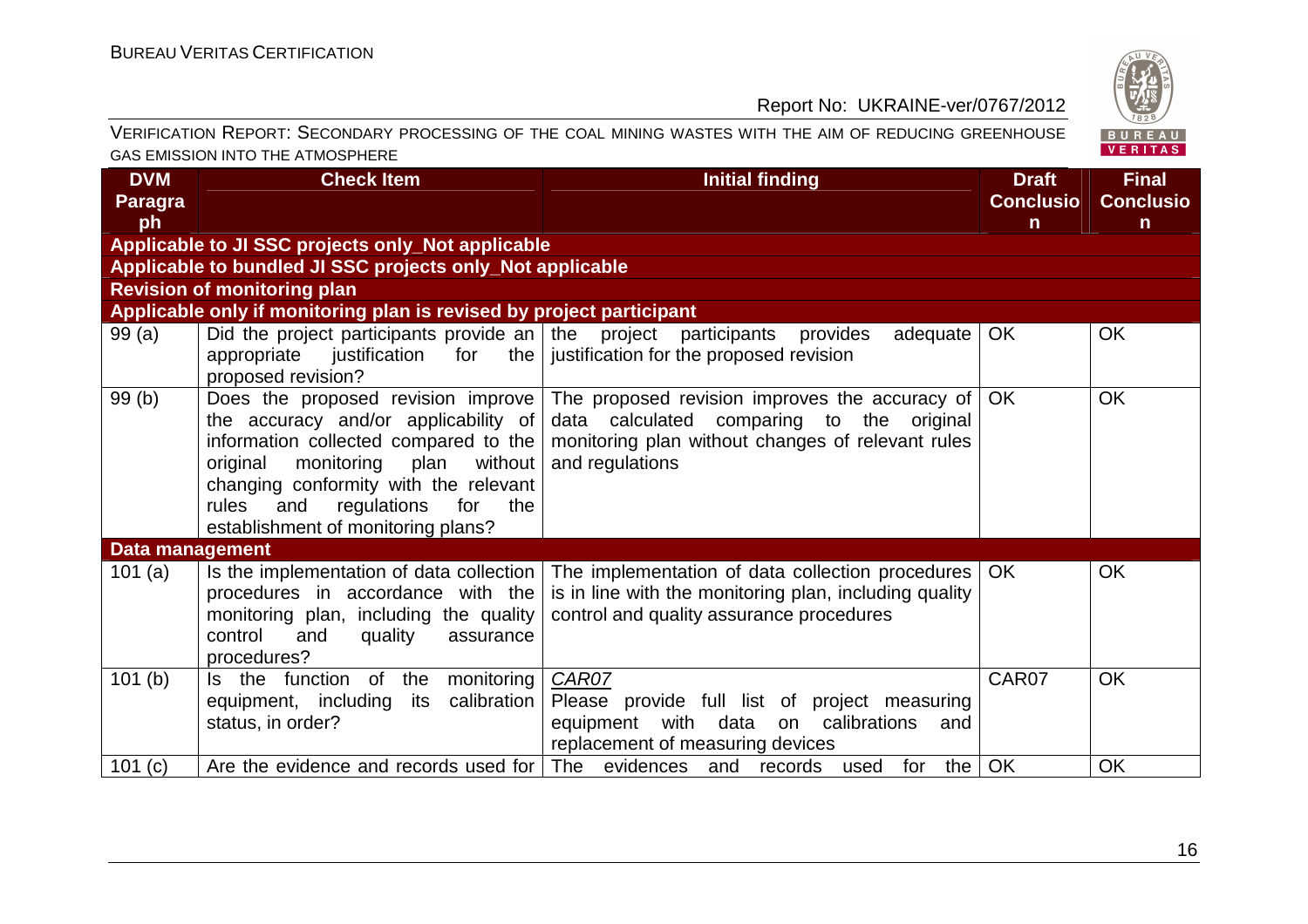$\begin{array}{ccccccccccccccccc}\n\hline\n\end{array}$ 

#### Report No: UKRAINE-ver/0767/2012

| VERIFICATION REPORT: SECONDARY PROCESSING OF THE COAL MINING WASTES WITH THE AIM OF REDUCING GREENHOUSE |                                                                                                                                                                                                                                                                  |                                                                                                                                                                                                        |                                                  | BUREAU<br><b>VERITAS</b>              |
|---------------------------------------------------------------------------------------------------------|------------------------------------------------------------------------------------------------------------------------------------------------------------------------------------------------------------------------------------------------------------------|--------------------------------------------------------------------------------------------------------------------------------------------------------------------------------------------------------|--------------------------------------------------|---------------------------------------|
| GAS EMISSION INTO THE ATMOSPHERE                                                                        |                                                                                                                                                                                                                                                                  |                                                                                                                                                                                                        |                                                  |                                       |
| <b>DVM</b><br><b>Paragra</b><br>ph                                                                      | <b>Check Item</b>                                                                                                                                                                                                                                                | <b>Initial finding</b>                                                                                                                                                                                 | <b>Draft</b><br><b>Conclusio</b><br>$\mathsf{n}$ | <b>Final</b><br><b>Conclusio</b><br>n |
|                                                                                                         | Applicable to JI SSC projects only_Not applicable                                                                                                                                                                                                                |                                                                                                                                                                                                        |                                                  |                                       |
|                                                                                                         | Applicable to bundled JI SSC projects only_Not applicable                                                                                                                                                                                                        |                                                                                                                                                                                                        |                                                  |                                       |
|                                                                                                         | <b>Revision of monitoring plan</b>                                                                                                                                                                                                                               |                                                                                                                                                                                                        |                                                  |                                       |
|                                                                                                         | Applicable only if monitoring plan is revised by project participant                                                                                                                                                                                             |                                                                                                                                                                                                        |                                                  |                                       |
| 99(a)                                                                                                   | Did the project participants provide an $\vert$ the project participants provides<br>appropriate justification for the justification for the proposed revision<br>proposed revision?                                                                             | adequate                                                                                                                                                                                               | <b>OK</b>                                        | <b>OK</b>                             |
| 99(b)                                                                                                   | the accuracy and/or applicability of<br>information collected compared to the $\vert$<br>without  <br>original<br>monitoring<br>plan<br>changing conformity with the relevant<br>regulations<br>for<br>rules<br>and<br>the<br>establishment of monitoring plans? | Does the proposed revision improve The proposed revision improves the accuracy of<br>data calculated comparing to the original<br>monitoring plan without changes of relevant rules<br>and regulations | OK.                                              | <b>OK</b>                             |
| <b>Data management</b>                                                                                  |                                                                                                                                                                                                                                                                  |                                                                                                                                                                                                        |                                                  |                                       |
| 101 $(a)$                                                                                               | procedures in accordance with the<br>monitoring plan, including the quality<br>control<br>quality<br>and<br>assurance<br>procedures?                                                                                                                             | Is the implementation of data collection   The implementation of data collection procedures<br>is in line with the monitoring plan, including quality<br>control and quality assurance procedures      | OK.                                              | <b>OK</b>                             |
| 101(b)                                                                                                  | Is the function of the monitoring<br>equipment, including its calibration<br>status, in order?                                                                                                                                                                   | CAR07<br>Please provide full list of project measuring<br>equipment with data on calibrations and<br>replacement of measuring devices                                                                  | CAR07                                            | <b>OK</b>                             |
| 101(c)                                                                                                  |                                                                                                                                                                                                                                                                  | Are the evidence and records used for The evidences and records used for<br>the                                                                                                                        | OK                                               | <b>OK</b>                             |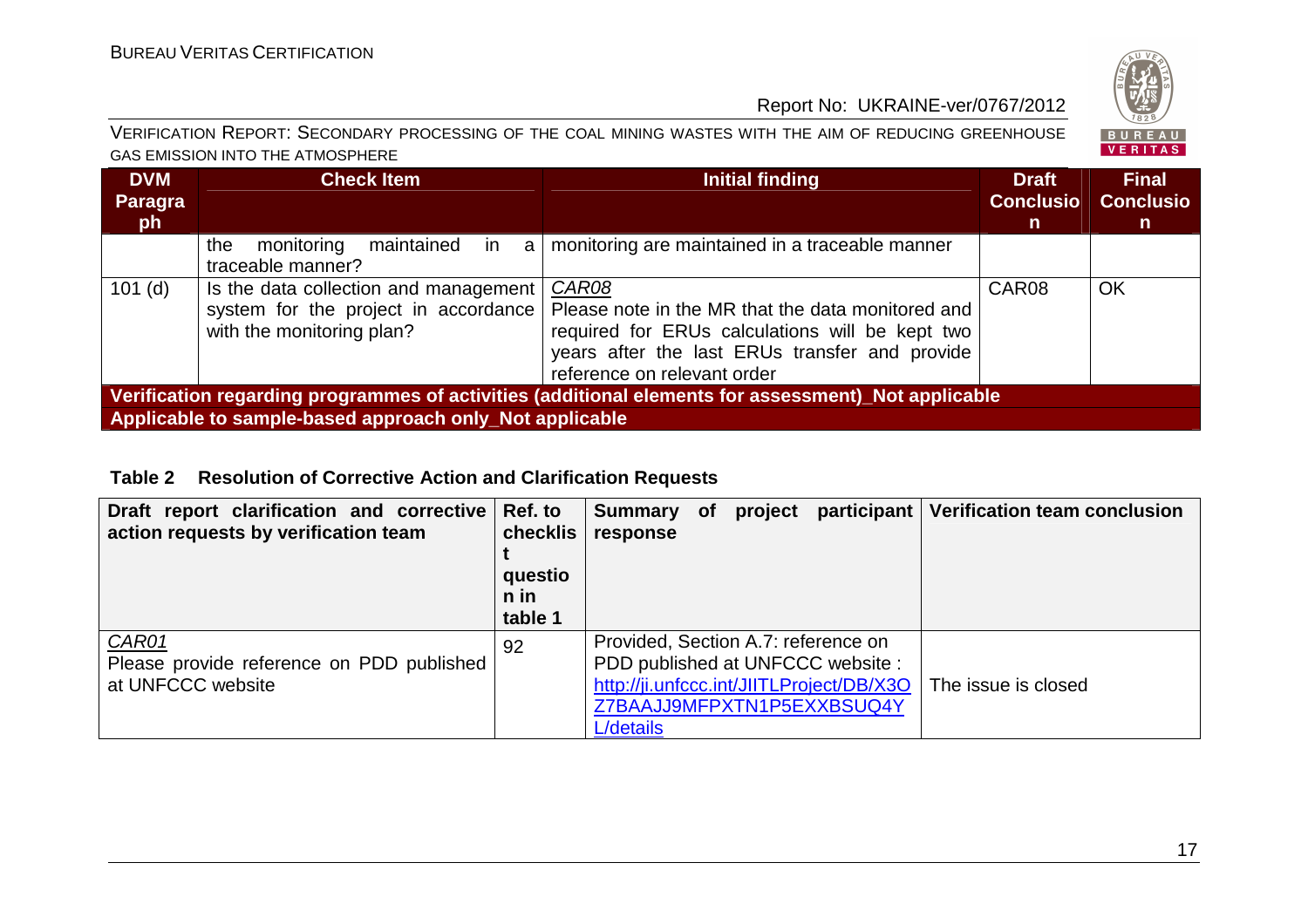

| VERIFICATION REPORT: SECONDARY PROCESSING OF THE COAL MINING WASTES WITH THE AIM OF REDUCING GREENHOUSE |
|---------------------------------------------------------------------------------------------------------|
| GAS EMISSION INTO THE ATMOSPHERE                                                                        |

| <b>DVM</b><br>Paragra<br><b>ph</b>                                                                  | <b>Check Item</b>                                                                                          | Initial finding                                                                                                                                                                                | <b>Draft</b><br><b>Conclusio</b><br>$\mathsf{n}$ | <b>Final</b><br><b>Conclusio</b><br>n. |
|-----------------------------------------------------------------------------------------------------|------------------------------------------------------------------------------------------------------------|------------------------------------------------------------------------------------------------------------------------------------------------------------------------------------------------|--------------------------------------------------|----------------------------------------|
|                                                                                                     | monitoring<br>maintained<br>the<br>-in<br>a<br>traceable manner?                                           | monitoring are maintained in a traceable manner                                                                                                                                                |                                                  |                                        |
| $101$ (d)                                                                                           | Is the data collection and management<br>system for the project in accordance<br>with the monitoring plan? | CAR08<br>Please note in the MR that the data monitored and<br>required for ERUs calculations will be kept two<br>years after the last ERUs transfer and provide<br>reference on relevant order | CAR08                                            | <b>OK</b>                              |
| Verification regarding programmes of activities (additional elements for assessment)_Not applicable |                                                                                                            |                                                                                                                                                                                                |                                                  |                                        |
| Applicable to sample-based approach only_Not applicable                                             |                                                                                                            |                                                                                                                                                                                                |                                                  |                                        |

#### **Table 2 Resolution of Corrective Action and Clarification Requests**

| Draft report clarification and corrective Ref. to<br>action requests by verification team | checklis<br>questio<br>n in<br>table 1 | <b>Summary</b><br>response                       | <b>of</b> | project |                                                                                                            | participant   Verification team conclusion |
|-------------------------------------------------------------------------------------------|----------------------------------------|--------------------------------------------------|-----------|---------|------------------------------------------------------------------------------------------------------------|--------------------------------------------|
| CAR01<br>Please provide reference on PDD published<br>at UNFCCC website                   | 92                                     | Provided, Section A.7: reference on<br>L/details |           |         | PDD published at UNFCCC website:<br>http://ji.unfccc.int/JIITLProject/DB/X3O<br>Z7BAAJJ9MFPXTN1P5EXXBSUQ4Y | The issue is closed                        |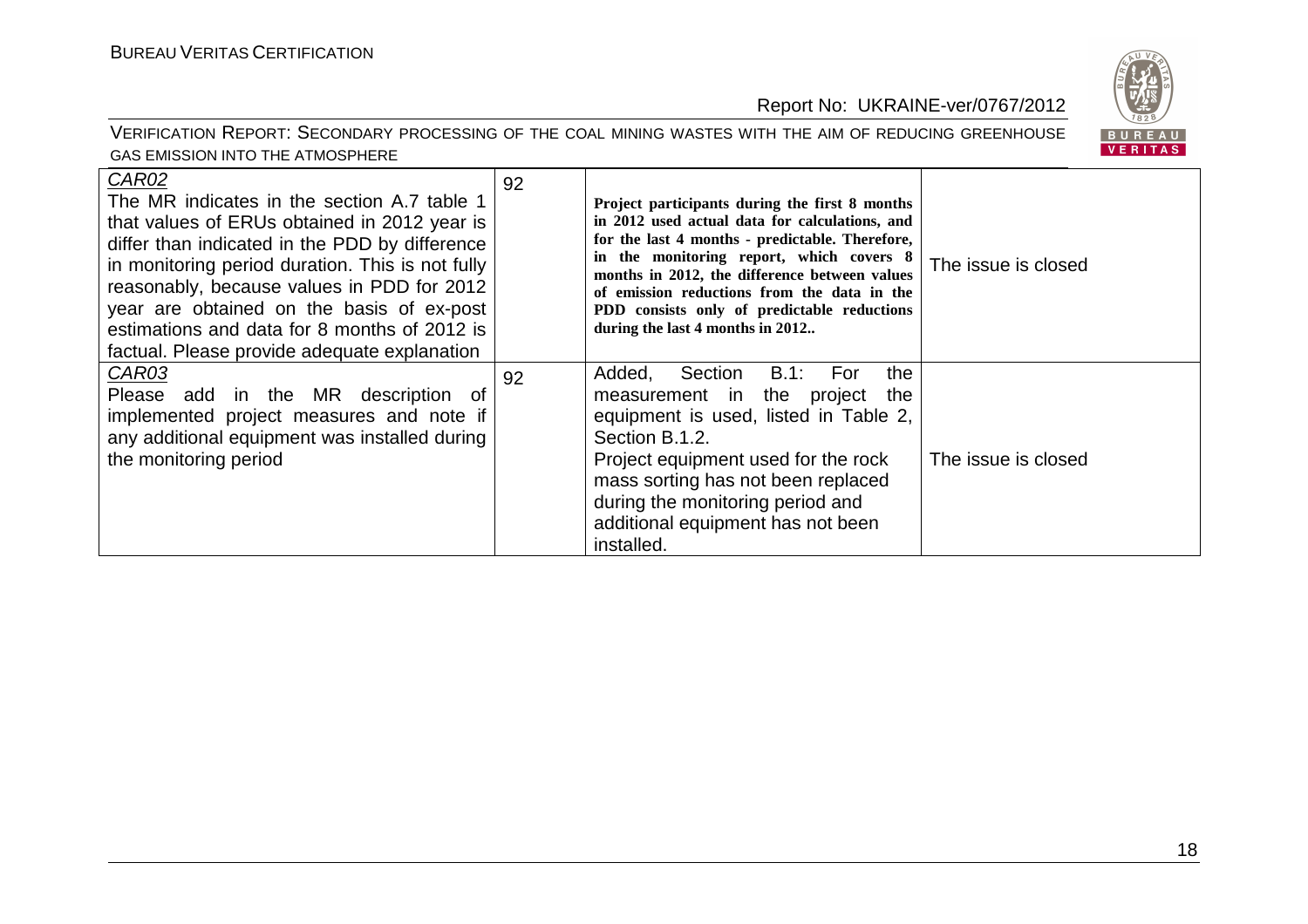

#### VERIFICATION REPORT: SECONDARY PROCESSING OF THE COAL MINING WASTES WITH THE AIM OF REDUCING GREENHOUSE GAS EMISSION INTO THE ATMOSPHERE

| CAR02<br>The MR indicates in the section A.7 table 1<br>that values of ERUs obtained in 2012 year is<br>differ than indicated in the PDD by difference<br>in monitoring period duration. This is not fully<br>reasonably, because values in PDD for 2012<br>year are obtained on the basis of ex-post<br>estimations and data for 8 months of 2012 is<br>factual. Please provide adequate explanation | 92 | Project participants during the first 8 months<br>in 2012 used actual data for calculations, and<br>for the last 4 months - predictable. Therefore,<br>in the monitoring report, which covers 8<br>months in 2012, the difference between values<br>of emission reductions from the data in the<br>PDD consists only of predictable reductions<br>during the last 4 months in 2012 | The issue is closed |
|-------------------------------------------------------------------------------------------------------------------------------------------------------------------------------------------------------------------------------------------------------------------------------------------------------------------------------------------------------------------------------------------------------|----|------------------------------------------------------------------------------------------------------------------------------------------------------------------------------------------------------------------------------------------------------------------------------------------------------------------------------------------------------------------------------------|---------------------|
| CAR03<br>Please add in the MR description<br>. of<br>implemented project measures and note if<br>any additional equipment was installed during<br>the monitoring period                                                                                                                                                                                                                               | 92 | Section<br>B.1:<br>Added,<br>the<br>For<br>the project<br>the<br>measurement in<br>equipment is used, listed in Table 2,<br>Section B.1.2.<br>Project equipment used for the rock<br>mass sorting has not been replaced<br>during the monitoring period and<br>additional equipment has not been<br>installed.                                                                     | The issue is closed |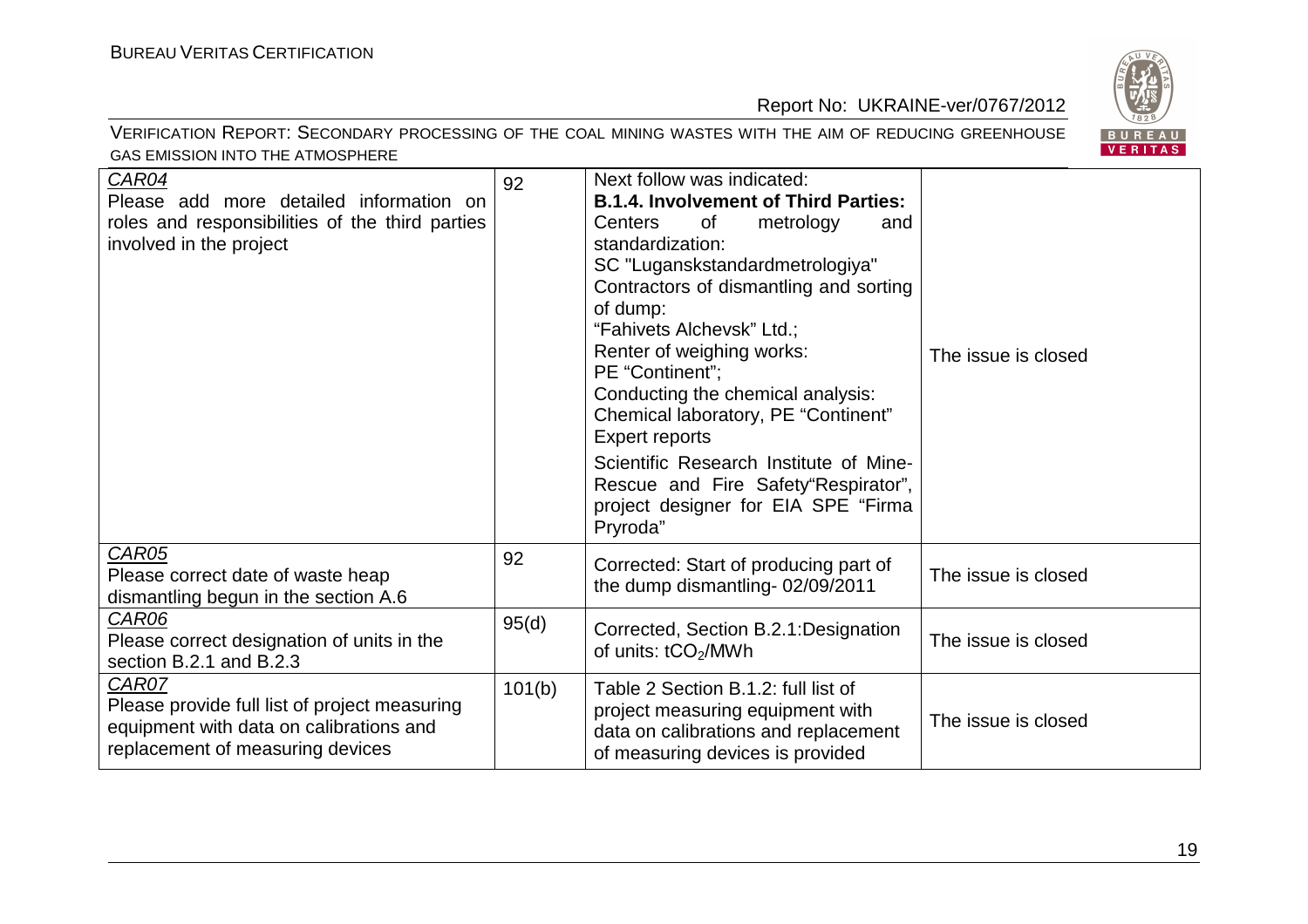BUREAU<br>VERITAS

#### Report No: UKRAINE-ver/0767/2012

#### VERIFICATION REPORT: SECONDARY PROCESSING OF THE COAL MINING WASTES WITH THE AIM OF REDUCING GREENHOUSE GAS EMISSION INTO THE ATMOSPHERE

| CAR04<br>Please add more detailed information on<br>roles and responsibilities of the third parties<br>involved in the project        | 92     | Next follow was indicated:<br><b>B.1.4. Involvement of Third Parties:</b><br>Centers<br>of<br>metrology<br>and<br>standardization:<br>SC "Luganskstandardmetrologiya"<br>Contractors of dismantling and sorting<br>of dump:<br>"Fahivets Alchevsk" Ltd.;                              |                     |
|---------------------------------------------------------------------------------------------------------------------------------------|--------|---------------------------------------------------------------------------------------------------------------------------------------------------------------------------------------------------------------------------------------------------------------------------------------|---------------------|
|                                                                                                                                       |        | Renter of weighing works:<br>PE "Continent";<br>Conducting the chemical analysis:<br>Chemical laboratory, PE "Continent"<br><b>Expert reports</b><br>Scientific Research Institute of Mine-<br>Rescue and Fire Safety"Respirator",<br>project designer for EIA SPE "Firma<br>Pryroda" | The issue is closed |
| <b>CAR05</b><br>Please correct date of waste heap<br>dismantling begun in the section A.6                                             | 92     | Corrected: Start of producing part of<br>the dump dismantling-02/09/2011                                                                                                                                                                                                              | The issue is closed |
| CAR06<br>Please correct designation of units in the<br>section B.2.1 and B.2.3                                                        | 95(d)  | Corrected, Section B.2.1: Designation<br>of units: tCO <sub>2</sub> /MWh                                                                                                                                                                                                              | The issue is closed |
| CAR07<br>Please provide full list of project measuring<br>equipment with data on calibrations and<br>replacement of measuring devices | 101(b) | Table 2 Section B.1.2: full list of<br>project measuring equipment with<br>data on calibrations and replacement<br>of measuring devices is provided                                                                                                                                   | The issue is closed |